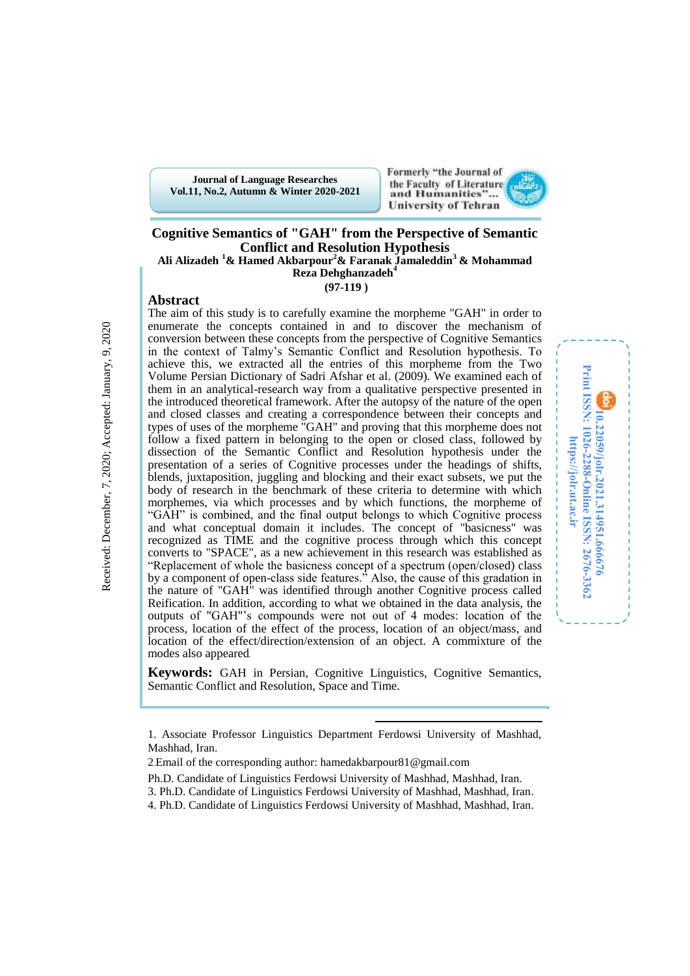**Journal of Language Researches Vol.11, No.2, Autumn & Winter 2020-2021**



### **Cognitive Semantics of "GAH" from the Perspective of Semantic Conflict and Resolution Hypothesis Ali Alizadeh <sup>1</sup>& Hamed Akbarpour<sup>2</sup>& Faranak Jamaleddin<sup>3</sup> & Mohammad**

**Reza Dehghanzadeh<sup>4</sup>**

**(97-119 )**

The aim of this study is to carefully examine the morpheme "GAH" in order to enumerate the concepts contained in and to discover the mechanism of conversion between these concepts from the perspective of Cognitive Semantics in the context of Talmy's Semantic Conflict and Resolution hypothesis. To achieve this, we extracted all the entries of this morpheme from the Two Volume Persian Dictionary of Sadri Afshar et al. (2009). We examined each of them in an analytical-research way from a qualitative perspective presented in the introduced theoretical framework. After the autopsy of the nature of the open and closed classes and creating a correspondence between their concepts and types of uses of the morpheme "GAH" and proving that this morpheme does not follow a fixed pattern in belonging to the open or closed class, followed by dissection of the Semantic Conflict and Resolution hypothesis under the presentation of a series of Cognitive processes under the headings of shifts, blends, juxtaposition, juggling and blocking and their exact subsets, we put the body of research in the benchmark of these criteria to determine with which morphemes, via which processes and by which functions, the morpheme of "GAH" is combined, and the final output belongs to which Cognitive process and what conceptual domain it includes. The concept of "basicness" was recognized as TIME and the cognitive process through which this concept converts to "SPACE", as a new achievement in this research was established as "Replacement of whole the basicness concept of a spectrum (open/closed) class by a component of open-class side features." Also, the cause of this gradation in the nature of "GAH" was identified through another Cognitive process called Reification. In addition, according to what we obtained in the data analysis, the outputs of "GAH"'s compounds were not out of 4 modes: location of the process, location of the effect of the process, location of an object/mass, and location of the effect/direction/extension of an object. A commixture of the modes also appeared.



**Keywords:** GAH in Persian, Cognitive Linguistics, Cognitive Semantics, Semantic Conflict and Resolution, Space and Time.

 $\overline{a}$ 

**Abstract**

<sup>1.</sup> Associate Professor Linguistics Department Ferdowsi University of Mashhad, Mashhad, Iran.

<sup>2</sup>.Email of the corresponding author: hamedakbarpour81@gmail.com

Ph.D. Candidate of Linguistics Ferdowsi University of Mashhad, Mashhad, Iran.

<sup>3.</sup> Ph.D. Candidate of Linguistics Ferdowsi University of Mashhad, Mashhad, Iran.

<sup>4.</sup> Ph.D. Candidate of Linguistics Ferdowsi University of Mashhad, Mashhad, Iran.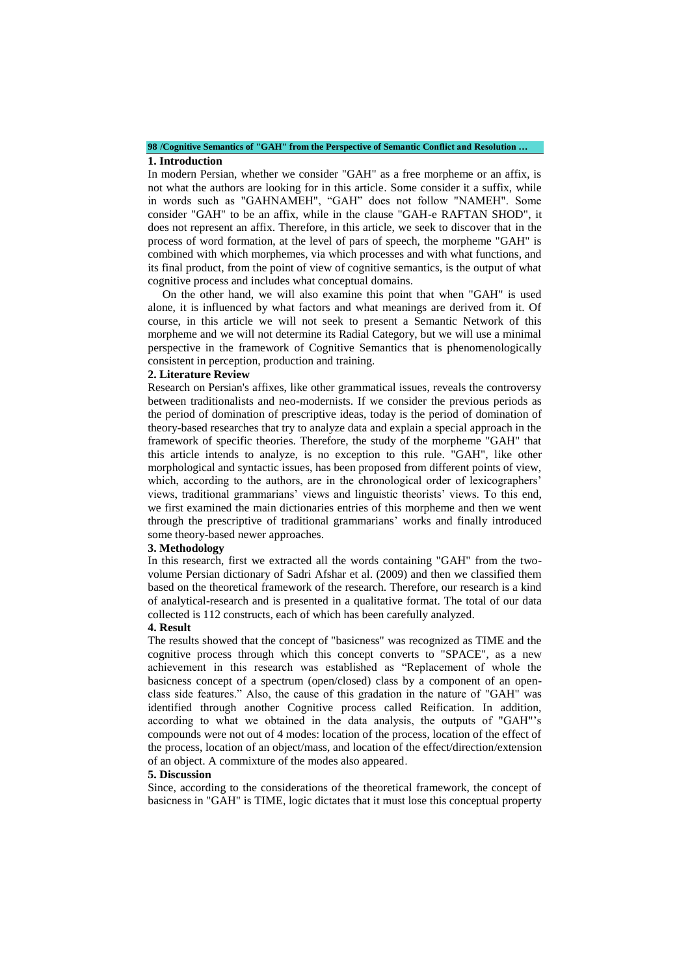#### **98 /Cognitive Semantics of "GAH" from the Perspective of Semantic Conflict and Resolution … 1. Introduction**

In modern Persian, whether we consider "GAH" as a free morpheme or an affix, is not what the authors are looking for in this article. Some consider it a suffix, while in words such as "GAHNAMEH", "GAH" does not follow "NAMEH". Some consider "GAH" to be an affix, while in the clause "GAH-e RAFTAN SHOD", it does not represent an affix. Therefore, in this article, we seek to discover that in the process of word formation, at the level of pars of speech, the morpheme "GAH" is combined with which morphemes, via which processes and with what functions, and its final product, from the point of view of cognitive semantics, is the output of what cognitive process and includes what conceptual domains.

 On the other hand, we will also examine this point that when "GAH" is used alone, it is influenced by what factors and what meanings are derived from it. Of course, in this article we will not seek to present a Semantic Network of this morpheme and we will not determine its Radial Category, but we will use a minimal perspective in the framework of Cognitive Semantics that is phenomenologically consistent in perception, production and training.

#### **2. Literature Review**

Research on Persian's affixes, like other grammatical issues, reveals the controversy between traditionalists and neo-modernists. If we consider the previous periods as the period of domination of prescriptive ideas, today is the period of domination of theory-based researches that try to analyze data and explain a special approach in the framework of specific theories. Therefore, the study of the morpheme "GAH" that this article intends to analyze, is no exception to this rule. "GAH", like other morphological and syntactic issues, has been proposed from different points of view, which, according to the authors, are in the chronological order of lexicographers' views, traditional grammarians' views and linguistic theorists' views. To this end, we first examined the main dictionaries entries of this morpheme and then we went through the prescriptive of traditional grammarians' works and finally introduced some theory-based newer approaches.

#### **3. Methodology**

In this research, first we extracted all the words containing "GAH" from the twovolume Persian dictionary of Sadri Afshar et al. (2009) and then we classified them based on the theoretical framework of the research. Therefore, our research is a kind of analytical-research and is presented in a qualitative format. The total of our data collected is 112 constructs, each of which has been carefully analyzed.

#### **4. Result**

The results showed that the concept of "basicness" was recognized as TIME and the cognitive process through which this concept converts to "SPACE", as a new achievement in this research was established as "Replacement of whole the basicness concept of a spectrum (open/closed) class by a component of an openclass side features." Also, the cause of this gradation in the nature of "GAH" was identified through another Cognitive process called Reification. In addition, according to what we obtained in the data analysis, the outputs of "GAH"'s compounds were not out of 4 modes: location of the process, location of the effect of the process, location of an object/mass, and location of the effect/direction/extension of an object. A commixture of the modes also appeared.

#### **5. Discussion**

Since, according to the considerations of the theoretical framework, the concept of basicness in "GAH" is TIME, logic dictates that it must lose this conceptual property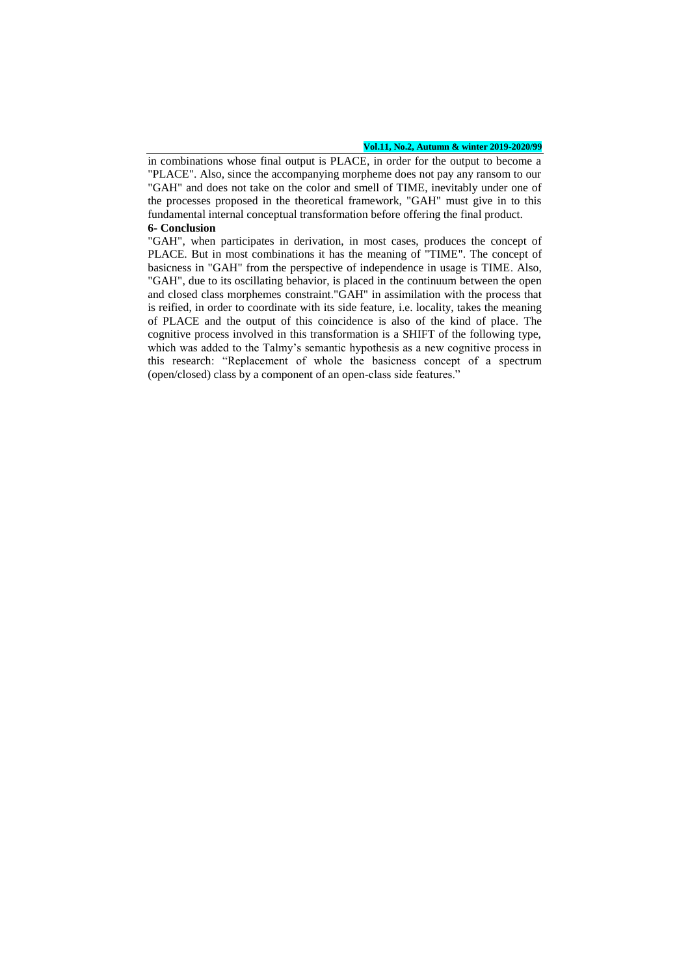#### **Vol.11, No.2, Autumn & winter 2019-2020/99**

in combinations whose final output is PLACE, in order for the output to become a "PLACE". Also, since the accompanying morpheme does not pay any ransom to our "GAH" and does not take on the color and smell of TIME, inevitably under one of the processes proposed in the theoretical framework, "GAH" must give in to this fundamental internal conceptual transformation before offering the final product. **6- Conclusion**

"GAH", when participates in derivation, in most cases, produces the concept of PLACE. But in most combinations it has the meaning of "TIME". The concept of basicness in "GAH" from the perspective of independence in usage is TIME. Also, "GAH", due to its oscillating behavior, is placed in the continuum between the open and closed class morphemes constraint."GAH" in assimilation with the process that is reified, in order to coordinate with its side feature, i.e. locality, takes the meaning of PLACE and the output of this coincidence is also of the kind of place. The cognitive process involved in this transformation is a SHIFT of the following type, which was added to the Talmy's semantic hypothesis as a new cognitive process in this research: "Replacement of whole the basicness concept of a spectrum (open/closed) class by a component of an open-class side features."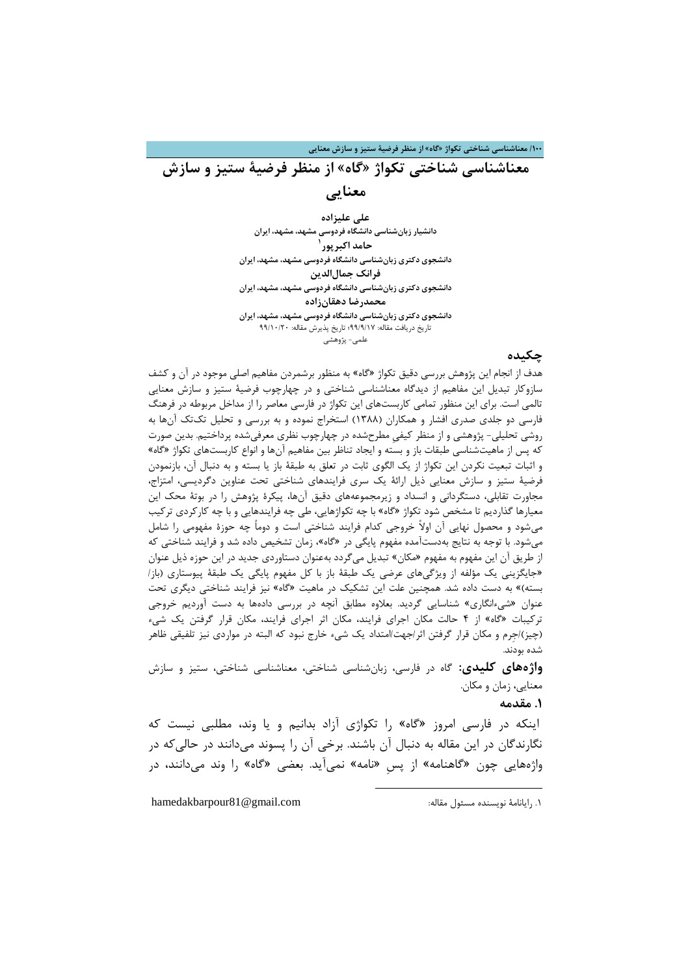**/011 معناشناسی شناختی تکواژ »گاه« از منظر فرضیۀ ستیز و سازش معنایی**

**معناشناسی شناختی تکواژ »گاه« از منظر فرضیۀ ستیز و سازش معنایی**

> **علی علیزاده دانشیار زبانشناسی دانشگاه فردوسی مشهد، مشهد، ایران 0 حامد اکبرپور دانشجوی دکتری زبانشناسی دانشگاه فردوسی مشهد، مشهد، ایران فرانک جمالالدین دانشجوی دکتری زبانشناسی دانشگاه فردوسی مشهد، مشهد، ایران محمدرضا دهقانزاده دانشجوی دکتری زبانشناسی دانشگاه فردوسی مشهد، مشهد، ایران** تاریخ دریافت مقاله: 99/9/71؛ تاریخ پذیرش مقاله: 99/72/02 علمی- پژوهشی

> > **چکیده**

هدف از انجام این پژوهش بررسی دقیق تکواژ »گاه« به منظور برشمردن مفاهیم اصلی موجود در آن و کشف سازوکار تبدیل این مفاهیم از دیدگاه معناشناسی شناختی و در چهارچوب فرضیۀ ستیز و سازش معنایی تالمی است. برای این منظور تمامی کاربستهای این تکواژ در فارسی معاصر را از مداخل مربوطه در فرهنگ فارسی دو جلدی صدری افشار و همکاران )7811( استخراج نموده و به بررسی و تحلیل تکتک آنها به روشی تحلیلی- پژوهشی و از منظر کیفیِ مطرحشده در چهارچوب نظری معرفیشده پرداختیم. بدین صورت که پس از ماهیتشناسی طبقات باز و بسته و ایجاد تناظر بین مفاهیم آنها و انواع کاربستهای تکواژ »گاه« و اثبات تبعیت نکردن این تکواژ از یک الگوی ثابت در تعلق به طبقۀ باز یا بسته و به دنبال آن، بازنمودن فرضیۀ ستیز و سازش معنایی ذیل ارائۀ یک سری فرایندهای شناختی تحت عناوین دگردیسی، امتزاج، مجاورت تقابلی، دستگردانی و انسداد و زیرمجموعههای دقیق آنها، پیکرۀ پژوهش را در بوتۀ محک این معیارها گذاردیم تا مشخص شود تکواژ »گاه« با چه تکواژهایی، طی چه فرایندهایی و با چه کارکردی ترکیب میشود و محصول نهایی آن اوالً خروجی کدام فرایند شناختی است و دوماً چه حوزۀ مفهومی را شامل میشود. با توجه به نتایج بهدستآمده مفهوم پایگی در »گاه«، زمان تشخیص داده شد و فرایند شناختی که از طریق آن این مفهوم به مفهوم »مکان« تبدیل میگردد بهعنوان دستاوردی جدید در این حوزه ذیل عنوان »جایگزینی یک مؤلفه از ویژگیهای عرضی یک طبقۀ باز با کل مفهوم پایگی یک طبقۀ پیوستاری )باز/ بسته)» به دست داده شد. همچنین علت این تشکیک در ماهیت «گاه» نیز فرایند شناختی دیگری تحت عنوان »شیءانگاری« شناسایی گردید. بعالوه مطابق آنچه در بررسی دادهها به دست آوردیم خروجی ترکیبات »گاه« از 4 حالت مکان اجرای فرایند، مکان اثر اجرای فرایند، مکان قرار گرفتن یک شیء )چیز(/جِرم و مکان قرار گرفتن اثر/جهت/امتداد یک شیء خارج نبود که البته در مواردی نیز تلفیقی ظاهر شده بودند.

**واژههای کلیدی:** گاه در فارسی، زبانشناسی شناختی، معناشناسی شناختی، ستیز و سازش معنایی، زمان و مکان.

**.0 مقدمه**

اینکه در فارسی امروز »گاه« را تکواژی آزاد بدانیم و یا وند، مطلبی نیست که نگارندگان در این مقاله به دنبال آن باشند. برخی آن را پسوند میدانند در حالیکه در واژههایی چون »گاهنامه« از پسِ »نامه« نمیآید. بعضی »گاه« را وند میدانند، در

1

.7 رایانامۀ نویسنده مسئول مقاله: com.gmail@81hamedakbarpour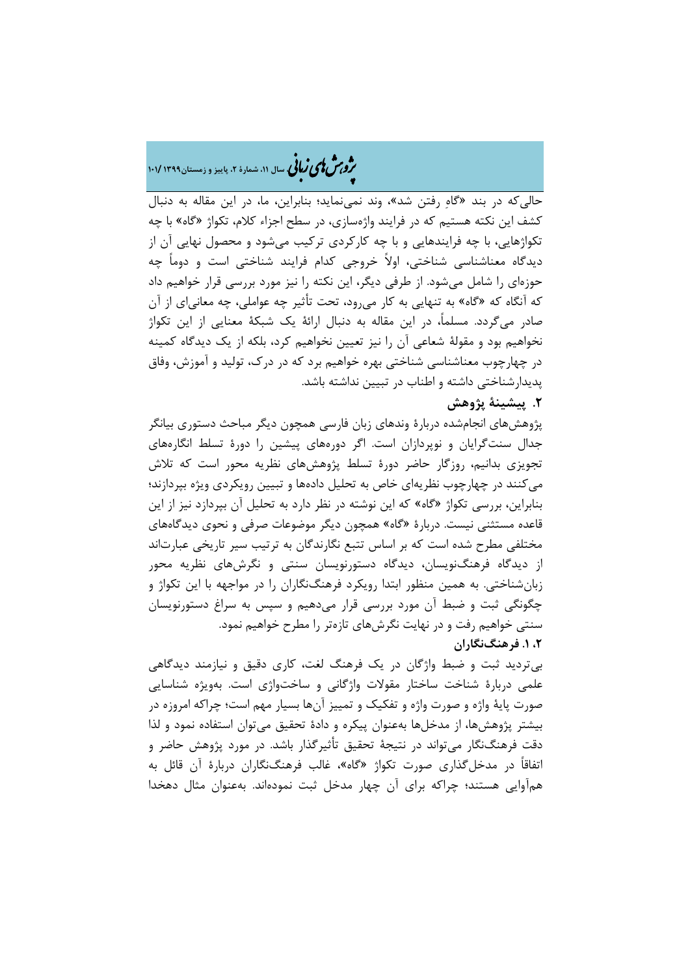# هش ژپو ی اهیزبا **، سال ،00 شمارۀ ،2 پاییز <sup>و</sup> زمستان0911 <sup>010</sup>/** ن

حالیکه در بند »گاهِ رفتن شد«، وند نمینماید؛ بنابراین، ما، در این مقاله به دنبال کشف این نکته هستیم که در فرایند واژهسازی، در سطح اجزاء کالم، تکواژ »گاه« با چه تکواژهایی، با چه فرایندهایی و با چه کارکردی ترکیب میشود و محصول نهایی آن از دیدگاه معناشناسی شناختی، اوالً خروجی کدام فرایند شناختی است و دوماً چه حوزهای را شامل میشود. از طرفی دیگر، این نکته را نیز مورد بررسی قرار خواهیم داد که آنگاه که »گاه« به تنهایی به کار میرود، تحت تأثیر چه عواملی، چه معانیای از آن صادر میگردد. مسلما،ً در این مقاله به دنبال ارائۀ یک شبکۀ معنایی از این تکواژ نخواهیم بود و مقولۀ شعاعی آن را نیز تعیین نخواهیم کرد، بلکه از یک دیدگاه کمینه در چهارچوب معناشناسی شناختی بهره خواهیم برد که در درک، تولید و آموزش، وفاق پدیدارشناختی داشته و اطناب در تبیین نداشته باشد.

## **.2 پیشینۀ پژوهش**

پژوهشهای انجامشده دربارۀ وندهای زبان فارسی همچون دیگر مباحث دستوری بیانگر جدال سنتگرایان و نوپردازان است. اگر دورههای پیشین را دورۀ تسلط انگارههای تجویزی بدانیم، روزگار حاضر دورۀ تسلط پژوهشهای نظریه محور است که تالش میکنند در چهارچوب نظریهای خاص به تحلیل دادهها و تبیین رویکردی ویژه بپردازند؛ بنابراین، بررسی تکواژ »گاه« که این نوشته در نظر دارد به تحلیل آن بپردازد نیز از این قاعده مستثنی نیست. دربارۀ »گاه« همچون دیگر موضوعات صرفی و نحوی دیدگاههای مختلفی مطرح شده است که بر اساس تتبع نگارندگان به ترتیب سیر تاریخی عبارتاند از دیدگاه فرهنگنویسان، دیدگاه دستورنویسان سنتی و نگرشهای نظریه محور زبانشناختی. به همین منظور ابتدا رویکرد فرهنگنگاران را در مواجهه با این تکواژ و چگونگی ثبت و ضبط آن مورد بررسی قرار میدهیم و سپس به سراغ دستورنویسان سنتی خواهیم رفت و در نهایت نگرشهای تازهتر را مطرح خواهیم نمود. **،2 .0 فرهنگنگاران**

بیتردید ثبت و ضبط واژگان در یک فرهنگ لغت، کاری دقیق و نیازمند دیدگاهی علمی دربارۀ شناخت ساختار مقوالت واژگانی و ساختواژی است. بهویژه شناسایی صورت پایۀ واژه و صورت واژه و تفکیک و تمییز آنها بسیار مهم است؛ چراکه امروزه در بیشتر پژوهشها، از مدخلها بهعنوان پیکره و دادۀ تحقیق میتوان استفاده نمود و لذا دقت فرهنگنگار میتواند در نتیجۀ تحقیق تأثیرگذار باشد. در مورد پژوهش حاضر و اتفاقاً در مدخلگذاری صورت تکواژ »گاه«، غالب فرهنگنگاران دربارۀ آن قائل به همآوایی هستند؛ چراکه برای آن چهار مدخل ثبت نمودهاند. بهعنوان مثال دهخدا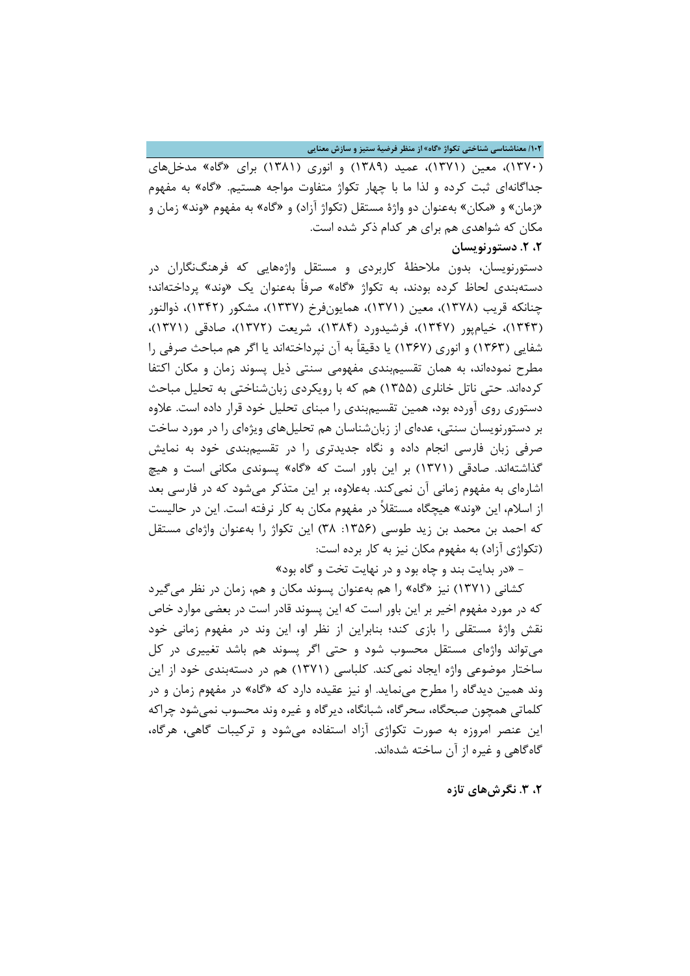#### **/012 معناشناسی شناختی تکواژ »گاه« از منظر فرضیۀ ستیز و سازش معنایی**

)7812(، معین )7817(، عمید )7819( و انوری )7817( برای »گاه« مدخلهای جداگانهای ثبت کرده و لذا ما با چهار تکواژ متفاوت مواجه هستیم. »گاه« به مفهوم «زمان» و «مکان» بهعنوان دو واژۀ مستقل (تکواژ آزاد) و «گاه» به مفهوم «وند» زمان و مکان که شواهدی هم برای هر کدام ذکر شده است.

### **،2 .2 دستورنویسان**

دستورنویسان، بدون مالحظۀ کاربردی و مستقل واژههایی که فرهنگنگاران در دستهبندی لحاظ کرده بودند، به تکواژ »گاه« صرفاً بهعنوان یک »وند« پرداختهاند؛ چنانکه قریب (۱۳۷۸)، معین (۱۳۷۱)، همایونفرخ (۱۳۳۷)، مشکور (۱۳۴۲)، ذوالنور (۱۳۴۳)، خیامپور (۱۳۴۷)، فرشیدورد (۱۳۸۴)، شریعت (۱۳۷۲)، صادقی (۱۳۷۱)، شفایی )7838( و انوری )7831( یا دقیقاً به آن نپرداختهاند یا اگر هم مباحث صرفی را مطرح نمودهاند، به همان تقسیمبندی مفهومی سنتی ذیل پسوند زمان و مکان اکتفا کردهاند. حتی ناتل خانلری )7811( هم که با رویکردی زبانشناختی به تحلیل مباحث دستوری روی آورده بود، همین تقسیمبندی را مبنای تحلیل خود قرار داده است. عالوه بر دستورنویسان سنتی، عدهای از زبانشناسان هم تحلیلهای ویژهای را در مورد ساخت صرفی زبان فارسی انجام داده و نگاه جدیدتری را در تقسیمبندی خود به نمایش گذاشتهاند. صادقی (۱۳۷۱) بر این باور است که «گاه» پسوندی مکانی است و هیچ اشارهای به مفهوم زمانی آن نمیکند. بهعلاوه، بر این متذکر میشود که در فارسی بعد از اسالم، این »وند« هیچگاه مستقالً در مفهوم مکان به کار نرفته است. این در حالیست که احمد بن محمد بن زید طوسی (۱۳۵۶: ۳۸) این تکواژ را بهعنوان واژهای مستقل (تکواژی آزاد) به مفهوم مکان نیز به کار برده است:

- »در بدایت بند و چاه بود و در نهایت تخت و گاه بود«

کشانی (۱۳۷۱) نیز «گاه» را هم بهعنوان پسوند مکان و هم، زمان در نظر میگیرد که در مورد مفهوم اخیر بر این باور است که این پسوند قادر است در بعضی موارد خاص نقش واژۀ مستقلی را بازی کند؛ بنابراین از نظر او، این وند در مفهوم زمانی خود میتواند واژهای مستقل محسوب شود و حتی اگر پسوند هم باشد تغییری در کل ساختار موضوعی واژه ایجاد نمی کند. کلباسی (۱۳۷۱) هم در دستهبندی خود از این وند همین دیدگاه را مطرح مینماید. او نیز عقیده دارد که »گاه« در مفهوم زمان و در کلماتی همچون صبحگاه، سحرگاه، شبانگاه، دیرگاه و غیره وند محسوب نمیشود چراکه این عنصر امروزه به صورت تکواژی آزاد استفاده میشود و ترکیبات گاهی، هرگاه، گاهگاهی و غیره از آن ساخته شدهاند.

**،2 .9 نگرشهای تازه**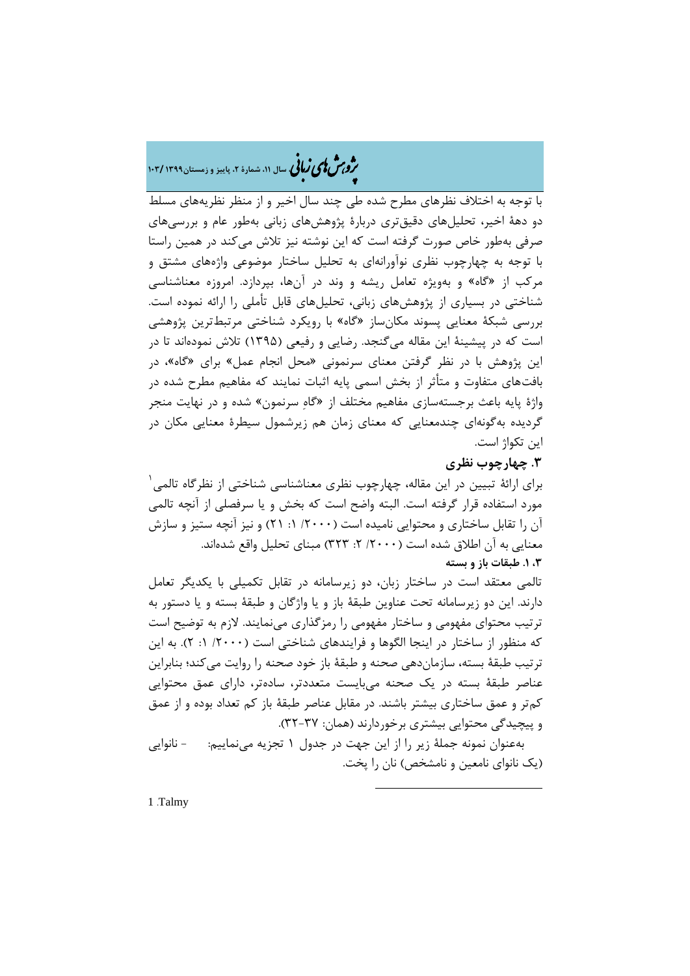# هش ژپو ی اهیزبا **، سال ،00 شمارۀ ،2 پاییز <sup>و</sup> زمستان0911 <sup>019</sup>/** ن

با توجه به اختالف نظرهای مطرح شده طی چند سال اخیر و از منظر نظریههای مسلط دو دهۀ اخیر، تحلیلهای دقیقتری دربارۀ پژوهشهای زبانی بهطور عام و بررسیهای صرفی بهطور خاص صورت گرفته است که این نوشته نیز تالش میکند در همین راستا با توجه به چهارچوب نظری نوآورانهای به تحلیل ساختار موضوعی واژههای مشتق و مرکب از »گاه« و بهویژه تعامل ریشه و وند در آنها، بپردازد. امروزه معناشناسی شناختی در بسیاری از پژوهشهای زبانی، تحلیلهای قابل تأملی را ارائه نموده است. بررسی شبکۀ معنایی پسوند مکانساز »گاه« با رویکرد شناختی مرتبطترین پژوهشی است که در پیشینۀ این مقاله میگنجد. رضایی و رفیعی )7891( تالش نمودهاند تا در این پژوهش با در نظر گرفتن معنای سرنمونی »محل انجام عمل« برای »گاه«، در بافتهای متفاوت و متأثر از بخش اسمی پایه اثبات نمایند که مفاهیم مطرح شده در واژۀ پایه باعث برجستهسازی مفاهیم مختلف از »گاهِ سرنمون« شده و در نهایت منجر گردیده بهگونهای چندمعنایی که معنای زمان هم زیرشمول سیطرۀ معنایی مکان در این تکواژ است.

### **.9 چهارچوب نظری**

7 برای ارائۀ تبیین در این مقاله، چهارچوب نظری معناشناسی شناختی از نظرگاه تالمی مورد استفاده قرار گرفته است. البته واضح است که بخش و یا سرفصلی از آنچه تالمی آن را تقابل ساختاری و محتوایی نامیده است (۲۰۰۰/ ۱: ۲۱) و نیز آنچه ستیز و سازش معنایی به آن اطلاق شده است (۲۰۰۰/ ۲: ۳۲۳) مبنای تحلیل واقع شدهاند. **،9 .0 طبقات باز و بسته**

تالمی معتقد است در ساختار زبان، دو زیرسامانه در تقابل تکمیلی با یکدیگر تعامل دارند. این دو زیرسامانه تحت عناوین طبقۀ باز و یا واژگان و طبقۀ بسته و یا دستور به ترتیب محتوای مفهومی و ساختار مفهومی را رمزگذاری مینمایند. الزم به توضیح است که منظور از ساختار در اینجا الگوها و فرایندهای شناختی است )/0222 :7 0(. به این ترتیب طبقۀ بسته، سازماندهی صحنه و طبقۀ باز خود صحنه را روایت میکند؛ بنابراین عناصر طبقۀ بسته در یک صحنه میبایست متعددتر، سادهتر، دارای عمق محتوایی کمتر و عمق ساختاری بیشتر باشند. در مقابل عناصر طبقۀ باز کم تعداد بوده و از عمق و پیچیدگی محتوایی بیشتری برخوردارند (همان: ۳۷-۳۲).

 بهعنوان نمونه جملۀ زیر را از این جهت در جدول 7 تجزیه مینماییم: - نانوایی )یک نانوای نامعین و نامشخص( نان را پخت.

1

1 .Talmy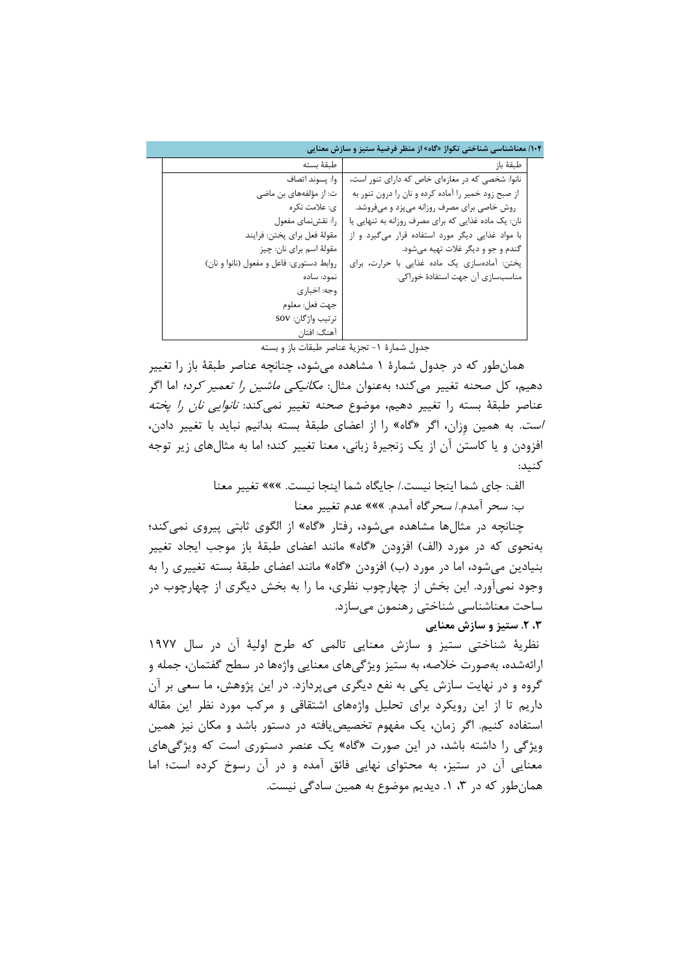|                                          | ۱۰۴/ معناشناسی شناختی تکواژ «گاه» از منظر فرضیهٔ ستیز و سازش معنایی |  |
|------------------------------------------|---------------------------------------------------------------------|--|
| طبقة بسته                                | طبقهٔ باز                                                           |  |
| وا: يسوند اتصاف                          | نانوا: شخصی که در مغازهای خاص که دارای تنور است،                    |  |
| ت: از مؤلفههای بن ماضی                   | از صبح زود خمیر را آماده کرده و نان را درون تنور به                 |  |
| ی: علامت نکر ہ                           | روش خاصی برای مصرف روزانه می پزد و میفروشد.                         |  |
| را: نقش نمای مفعول                       | نان: یک ماده غذایی که برای مصرف روزانه به تنهایی یا                 |  |
| مقولهٔ فعل برای پختن: فرايند             | با مواد غذایی دیگر مورد استفاده قرار میگیرد و از                    |  |
| مقولهٔ اسم برای نان: چیز                 | گندم و جو و دیگر غلات تهیه میشود.                                   |  |
| روابط دستوری: فاعل و مفعول (نانوا و نان) | پختن: آمادهسازی یک ماده غذایی با حرارت، برای                        |  |
| نمود: ساده                               | مناسبسازی آن جهت استفادهٔ خوراکی.                                   |  |
| وجه: اخباری                              |                                                                     |  |
| جهت فعل: معلوم                           |                                                                     |  |
| تر تیب واژگان: SOV                       |                                                                     |  |
| آهنگ: افتان                              |                                                                     |  |

جدول شمارۀ ١- تجزیۀ عناصر طبقات باز و بسته

 همانطور که در جدول شمارۀ 7 مشاهده میشود، چنانچه عناصر طبقۀ باز را تغییر دهیم، کل صحنه تغییر میکند؛ بهعنوان مثال: مکانیکی ماشین را تعمیر کرد؛ اما اگر عناصر طبقۀ بسته را تغییر دهیم، موضوع صحنه تغییر نمی *کند: نانوایی نان را یخته* است. به همین وِزان، اگر »گاه« را از اعضای طبقۀ بسته بدانیم نباید با تغییر دادن، افزودن و یا کاستن آن از یک زنجیرۀ زبانی، معنا تغییر کند؛ اما به مثالهای زیر توجه کنید:

الف: جای شما اینجا نیست/. جایگاه شما اینجا نیست. ««« تغییر معنا

ب: سحر آمدم/. سحرگاه آمدم. ««« عدم تغییر معنا

 چنانچه در مثالها مشاهده میشود، رفتار »گاه« از الگوی ثابتی پیروی نمیکند؛ بهنحوی که در مورد )الف( افزودن »گاه« مانند اعضای طبقۀ باز موجب ایجاد تغییر بنیادین میشود، اما در مورد )ب( افزودن »گاه« مانند اعضای طبقۀ بسته تغییری را به وجود نمیآورد. این بخش از چهارچوب نظری، ما را به بخش دیگری از چهارچوب در ساحت معناشناسی شناختی رهنمون میسازد.

**،9 .2 ستیز و سازش معنایی**

نظریۀ شناختی ستیز و سازش معنایی تالمی که طرح اولیۀ آن در سال 7911 ارائهشده، بهصورت خالصه، به ستیز ویژگیهای معنایی واژهها در سطح گفتمان، جمله و گروه و در نهایت سازش یکی به نفع دیگری میپردازد. در این پژوهش، ما سعی بر آن داریم تا از این رویکرد برای تحلیل واژههای اشتقاقی و مرکب مورد نظر این مقاله استفاده کنیم. اگر زمان، یک مفهوم تخصیصیافته در دستور باشد و مکان نیز همین ویژگی را داشته باشد، در این صورت »گاه« یک عنصر دستوری است که ویژگیهای معنایی آن در ستیز، به محتوای نهایی فائق آمده و در آن رسوخ کرده است؛ اما همانطور که در ،8 .7 دیدیم موضوع به همین سادگی نیست.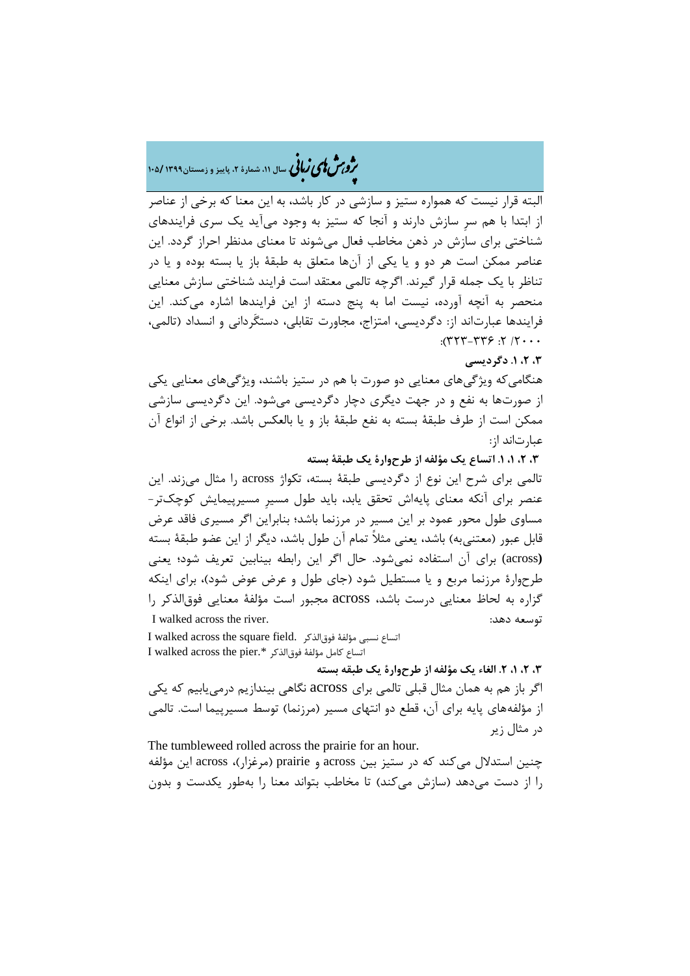# هش ژپو ی اهیزبا **، سال ،00 شمارۀ ،2 پاییز <sup>و</sup> زمستان0911 <sup>011</sup>/** ن

البته قرار نیست که همواره ستیز و سازشی در کار باشد، به این معنا که برخی از عناصر از ابتدا با هم سرِ سازش دارند و آنجا که ستیز به وجود میآید یک سری فرایندهای شناختی برای سازش در ذهن مخاطب فعال میشوند تا معنای مدنظر احراز گردد. این عناصر ممکن است هر دو و یا یکی از آنها متعلق به طبقۀ باز یا بسته بوده و یا در تناظر با یک جمله قرار گیرند. اگرچه تالمی معتقد است فرایند شناختی سازش معنایی منحصر به آنچه آورده، نیست اما به پنج دسته از این فرایندها اشاره میکند. این فرایندها عبارتاند از: دگردیسی، امتزاج، مجاورت تقابلی، دستگَردانی و انسداد )تالمی،  $: (TTT-TY)$ :  $(3T+T)$ 

## **،9 ،2 .0 دگردیسی**

هنگامیکه ویژگیهای معنایی دو صورت با هم در ستیز باشند، ویژگیهای معنایی یکی از صورتها به نفع و در جهت دیگری دچار دگردیسی میشود. این دگردیسی سازشی ممکن است از طرف طبقۀ بسته به نفع طبقۀ باز و یا بالعکس باشد. برخی از انواع آن عبارتاند از:

**،9 ،2 ،0 .0 اتساع یک مؤلفه از طرحوارۀ یک طبقۀ بسته**

تالمی برای شرح این نوع از دگردیسی طبقۀ بسته، تکواژ across را مثال میزند. این عنصر برای آنکه معنای پایهاش تحقق یابد، باید طول مسیرِ مسیرپیمایش کوچکتر- مساوی طول محور عمود بر این مسیر در مرزنما باشد؛ بنابراین اگر مسیری فاقد عرض قابل عبور (معتنی به) باشد، یعنی مثلاً تمام آن طول باشد، دیگر از این عضو طبقۀ بسته **(**across (برای آن استفاده نمیشود. حال اگر این رابطه بینابین تعریف شود؛ یعنی طرحوارۀ مرزنما مربع و یا مستطیل شود )جای طول و عرض عوض شود(، برای اینکه گزاره به لحاظ معنایی درست باشد، across مجبور است مؤلفۀ معنایی فوقالذکر را I walked across the river. :دهد توسعه

I walked across the square field. فوقالذکر مؤلفۀ نسبی اتساع I walked across the pier.\* فوقالذکر مؤلفۀ کامل اتساع

**،9 ،2 ،0 .2 الغاء یک مؤلفه از طرحوارۀ یک طبقه بسته**

اگر باز هم به همان مثال قبلی تالمی برای across نگاهی بیندازیم درمییابیم که یکی از مؤلفههای پایه برای آن، قطع دو انتهای مسیر (مرزنما) توسط مسیرپیما است. تالمی در مثال زیر

The tumbleweed rolled across the prairie for an hour.

چنین استدالل میکند که در ستیز بین across و prairie( مرغزار(، across این مؤلفه را از دست میدهد )سازش میکند( تا مخاطب بتواند معنا را بهطور یکدست و بدون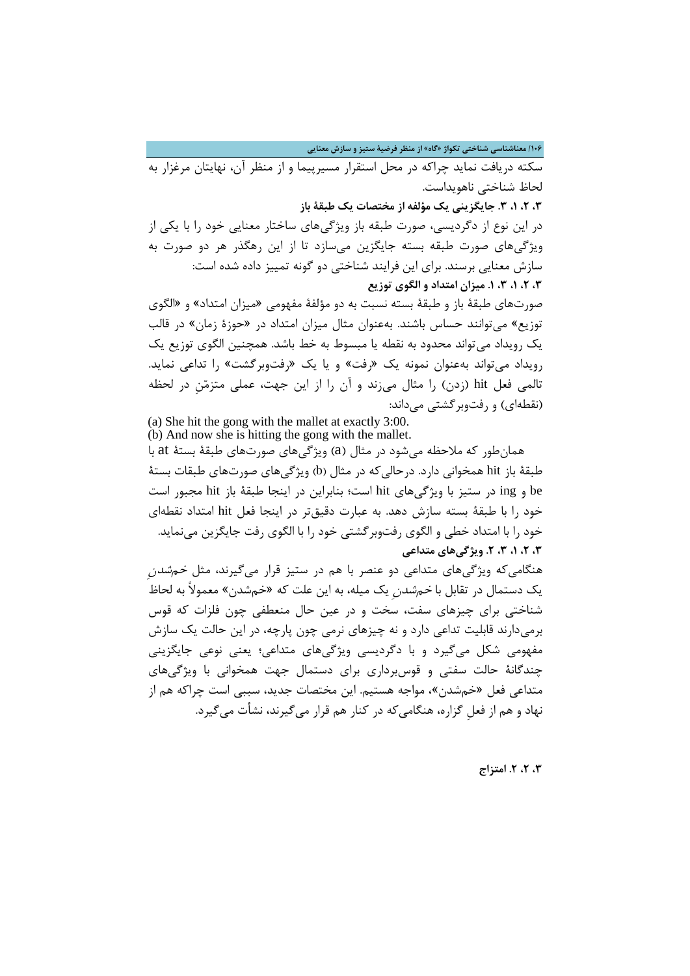**/011 معناشناسی شناختی تکواژ »گاه« از منظر فرضیۀ ستیز و سازش معنایی**

سکته دریافت نماید چراکه در محل استقرار مسیرپیما و از منظر آن، نهایتان مرغزار به لحاظ شناختی ناهویداست.

**،9 ،2 ،0 .9 جایگزینی یک مؤلفه از مختصات یک طبقۀ باز**

در این نوع از دگردیسی، صورت طبقه باز ویژگیهای ساختار معنایی خود را با یکی از ویژگیهای صورت طبقه بسته جایگزین میسازد تا از این رهگذر هر دو صورت به سازش معنایی برسند. برای این فرایند شناختی دو گونه تمییز داده شده است: **،9 ،2 ،0 ،9 .0 میزان امتداد و الگوی توزیع**

صورتهای طبقۀ باز و طبقۀ بسته نسبت به دو مؤلفۀ مفهومی »میزان امتداد« و »الگوی توزیع« میتوانند حساس باشند. بهعنوان مثال میزان امتداد در »حوزۀ زمان« در قالب یک رویداد میتواند محدود به نقطه یا مبسوط به خط باشد. همچنین الگوی توزیع یک رویداد میتواند بهعنوان نمونه یک »رفت« و یا یک »رفتوبرگشت« را تداعی نماید. تالمی فعل hit (زدن) را مثال میزند و آن را از این جهت، عملی متزمّنِ در لحظه (نقطهای) و رفتوبر گشتی می داند:

(a) She hit the gong with the mallet at exactly 3:00. (b) And now she is hitting the gong with the mallet.

 همانطور که مالحظه میشود در مثال )a )ویژگیهای صورتهای طبقۀ بستۀ at با طبقۀ باز hit همخوانی دارد. درحالی که در مثال (b) ویژگی های صورتهای طبقات بستۀ be و ing در ستیز با ویژگیهای hit است؛ بنابراین در اینجا طبقۀ باز hit مجبور است خود را با طبقۀ بسته سازش دهد. به عبارت دقیقتر در اینجا فعل hit امتداد نقطهای خود را با امتداد خطی و الگوی رفتوبرگشتی خود را با الگوی رفت جایگزین مینماید. **،9 ،2 ،0 ،9 .2 ویژگیهای متداعی**

هنگامیکه ویژگیهای متداعی دو عنصر با هم در ستیز قرار میگیرند، مثل *خم شدن* یک دستمال در تقابل با *خمشدن* یک میله، به این علت که «خمشدن» معمولاً به لحاظ شناختی برای چیزهای سفت، سخت و در عین حال منعطفی چون فلزات که قوس برمیدارند قابلیت تداعی دارد و نه چیزهای نرمی چون پارچه، در این حالت یک سازش مفهومی شکل میگیرد و با دگردیسی ویژگیهای متداعی؛ یعنی نوعی جایگزینی چندگانۀ حالت سفتی و قوسبرداری برای دستمال جهت همخوانی با ویژگیهای متداعی فعل »خمشدن«، مواجه هستیم. این مختصات جدید، سببی است چراکه هم از نهاد و هم از فعلِ گزاره، هنگامیکه در کنار هم قرار میگیرند، نشأت میگیرد.

**،9 ،2 .2 امتزاج**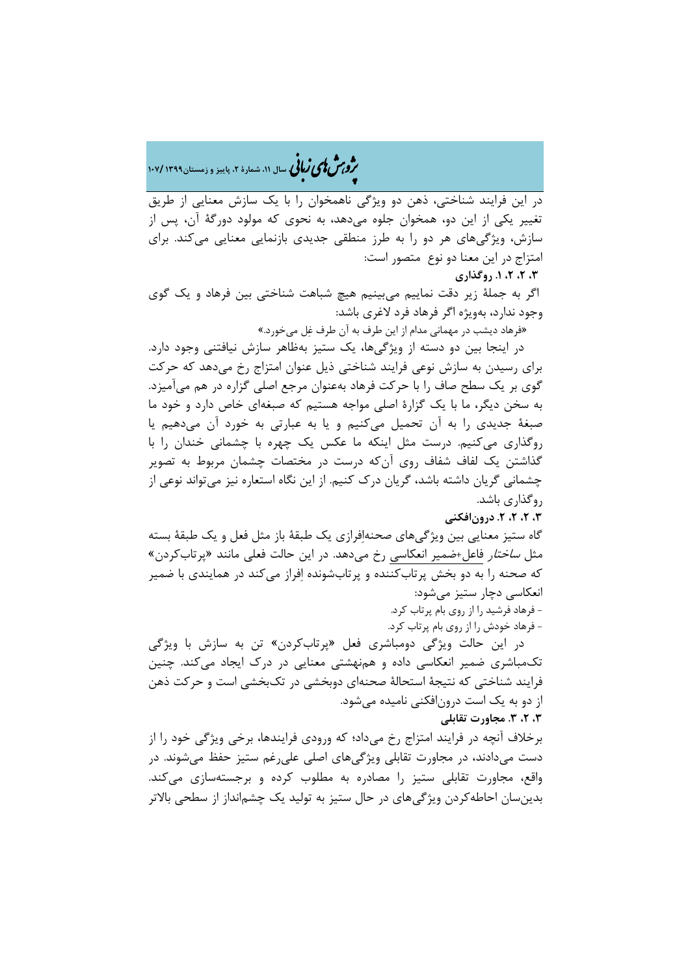هش ژپو ی اهیزبا **، سال ،00 شمارۀ ،2 پاییز <sup>و</sup> زمستان0911 <sup>011</sup>/** ن

در این فرایند شناختی، ذهن دو ویژگی ناهمخوان را با یک سازش معنایی از طریق تغییر یکی از این دو، همخوان جلوه میدهد، به نحوی که مولود دورگۀ آن، پس از سازش، ویژگیهای هر دو را به طرز منطقی جدیدی بازنمایی معنایی میکند. برای امتزاج در این معنا دو نوع متصور است:

**،9 ،2 ،2 .0 روگذاری**

اگر به جملۀ زیر دقت نماییم میبینیم هیچ شباهت شناختی بین فرهاد و یک گوی وجود ندارد، بهویژه اگر فرهاد فرد الغری باشد:

»فرهاد دیشب در مهمانی مدام از این طرف به آن طرف غِل میخورد.«

 در اینجا بین دو دسته از ویژگیها، یک ستیز بهظاهر سازش نیافتنی وجود دارد. برای رسیدن به سازش نوعی فرایند شناختی ذیل عنوان امتزاج رخ میدهد که حرکت گوی بر یک سطح صاف را با حرکت فرهاد بهعنوان مرجع اصلی گزاره در هم میآمیزد. به سخن دیگر، ما با یک گزارۀ اصلی مواجه هستیم که صبغهای خاص دارد و خود ما صبغۀ جدیدی را به آن تحمیل میکنیم و یا به عبارتی به خورد آن میدهیم یا روگذاری میکنیم. درست مثل اینکه ما عکس یک چهره با چشمانی خندان را با گذاشتن یک لفاف شفاف روی آنکه درست در مختصات چشمان مربوط به تصویر چشمانی گریان داشته باشد، گریان درک کنیم. از این نگاه استعاره نیز میتواند نوعی از روگذاری باشد.

**،9 ،2 ،2 .2 درونافکنی**

گاه ستیز معنایی بین ویژگیهای صحنهاِفرازی یک طبقۀ باز مثل فعل و یک طبقۀ بسته مثل *ساختار* فاعل+ضمیر انعکاسی رخ میدهد. در این حالت فعلی مانند «پرتابکردن» که صحنه را به دو بخش پرتابکننده و پرتابشونده اِفراز میکند در همایندی با ضمیر انعکاسی دچار ستیز میشود: - فرهاد فرشید را از روی بام پرتاب کرد.

- فرهاد خودش را از روی بام پرتاب کرد.

در این حالت ویژگی دومباشری فعل «پرتابکردن» تن به سازش با ویژگی تکمباشری ضمیر انعکاسی داده و همنهشتی معنایی در درک ایجاد میکند. چنین فرایند شناختی که نتیجۀ استحالۀ صحنهای دوبخشی در تکبخشی است و حرکت ذهن از دو به یک است درونافکنی نامیده میشود. **،9 ،2 .9 مجاورت تقابلی**

برخالف آنچه در فرایند امتزاج رخ میداد؛ که ورودی فرایندها، برخی ویژگی خود را از دست میدادند، در مجاورت تقابلی ویژگیهای اصلی علیرغم ستیز حفظ میشوند. در واقع، مجاورت تقابلی ستیز را مصادره به مطلوب کرده و برجستهسازی میکند. بدینسان احاطهکردن ویژگیهای در حال ستیز به تولید یک چشمانداز از سطحی باالتر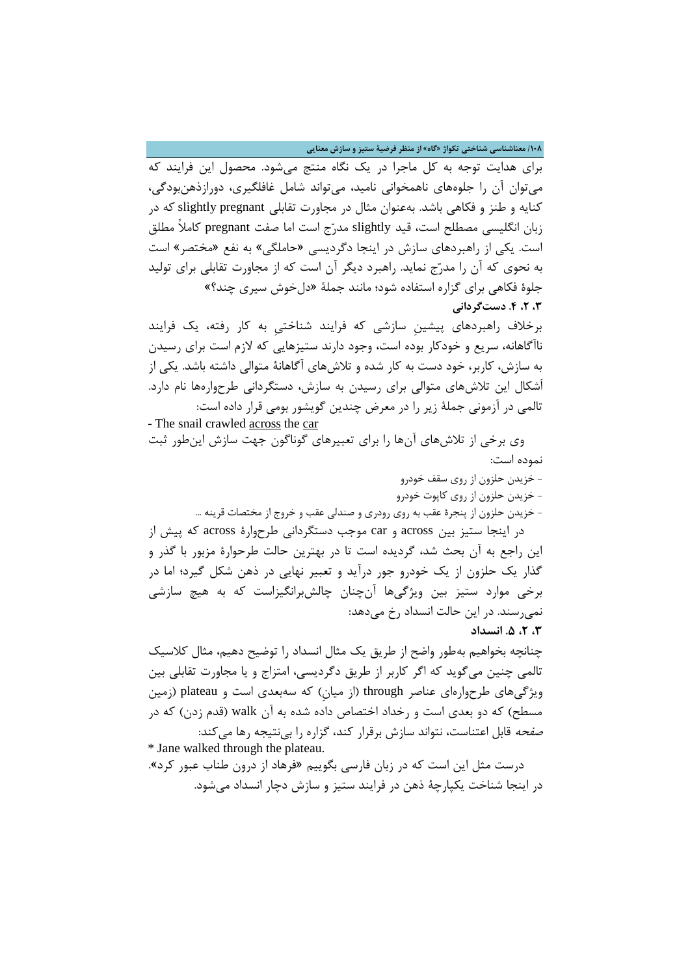**/011 معناشناسی شناختی تکواژ »گاه« از منظر فرضیۀ ستیز و سازش معنایی**

برای هدایت توجه به کل ماجرا در یک نگاه منتج میشود. محصول این فرایند که میتوان آن را جلوههای ناهمخوانی نامید، میتواند شامل غافلگیری، دورازذهنبودگی، کنایه و طنز و فکاهی باشد. بهعنوان مثال در مجاورت تقابلی slightly pregnant که در زبان انگلیسی مصطلح است، قید slightly مدرّج است اما صفت pregnant کامالً مطلق است. یکی از راهبردهای سازش در اینجا دگردیسی »حاملگی« به نفع »مختصر« است به نحوی که آن را مدرّج نماید. راهبرد دیگر آن است که از مجاورت تقابلی برای تولید جلوۀ فکاهی برای گزاره استفاده شود؛ مانند جملۀ »دلخوش سیری چند؟« **،9 ،2 .1 دستگردانی**

برخالف راهبردهای پیشینِ سازشی که فرایند شناختیِ به کار رفته، یک فرایند ناآگاهانه، سریع و خودکار بوده است، وجود دارند ستیزهایی که الزم است برای رسیدن به سازش، کاربر، خود دست به کار شده و تالشهای آگاهانۀ متوالی داشته باشد. یکی از اَشکال این تالشهای متوالی برای رسیدن به سازش، دستگردانی طرحوارهها نام دارد. تالمی در آزمونی جملۀ زیر را در معرض چندین گویشور بومی قرار داده است: - The snail crawled across the car

 وی برخی از تالشهای آنها را برای تعبیرهای گوناگون جهت سازش اینطور ثبت نموده است:

> - خزیدن حلزون از روی سقف خودرو - خزیدن حلزون از روی کاپوت خودرو

- خزیدن حلزون از پنجرۀ عقب به روی رودری و صندلی عقب و خروج از مختصات قرینه ...

 در اینجا ستیز بین across و car موجب دستگردانی طرحوارۀ across که پیش از این راجع به آن بحث شد، گردیده است تا در بهترین حالت طرحوارۀ مزبور با گذر و گذار یک حلزون از یک خودرو جور درآید و تعبیر نهایی در ذهن شکل گیرد؛ اما در برخی موارد ستیز بین ویژگیها آنچنان چالشبرانگیزاست که به هیچ سازشی نمیرسند. در این حالت انسداد رخ میدهد:

**،9 ،2 .1 انسداد**

چنانچه بخواهیم بهطور واضح از طریق یک مثال انسداد را توضیح دهیم، مثال کالسیک تالمی چنین میگوید که اگر کاربر از طریق دگردیسی، امتزاج و یا مجاورت تقابلی بین ویژگیهای طرحوارهای عناصر through( از میانِ( که سهبعدی است و plateau( زمین مسطح) که دو بعدی است و رخداد اختصاص داده شده به آن walk (قدم زدن) که در صفحه قابل اعتناست، نتواند سازش برقرار کند، گزاره را بینتیجه رها میکند:

\* Jane walked through the plateau. درست مثل این است که در زبان فارسی بگوییم »فرهاد از درون طناب عبور کرد«. در اینجا شناخت یکپارچۀ ذهن در فرایند ستیز و سازش دچار انسداد میشود.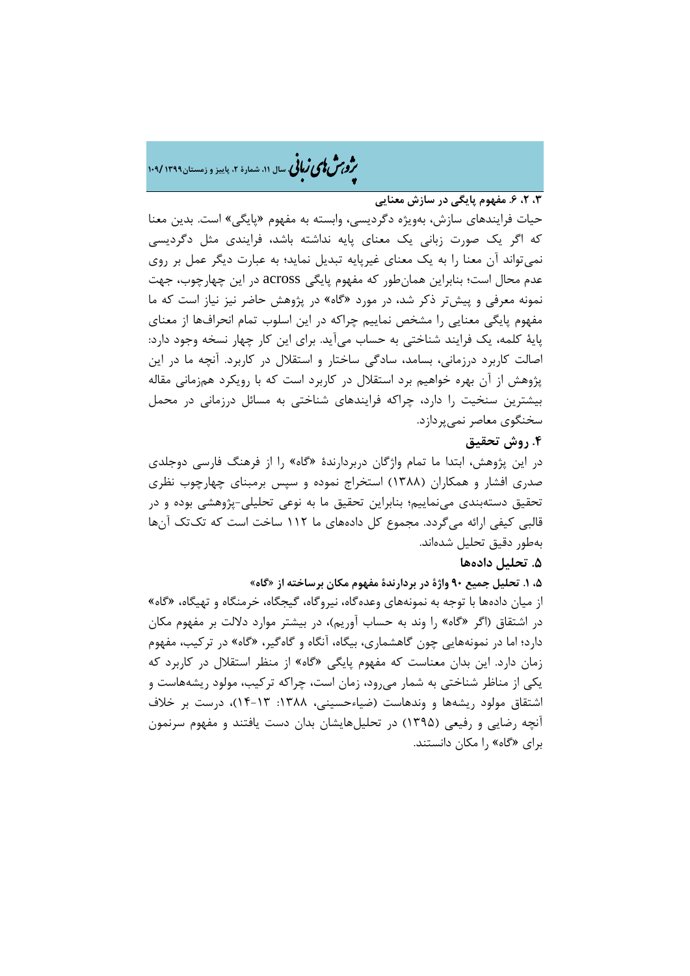هش ژپو ی اهیزبا **، سال ،00 شمارۀ ،2 پاییز <sup>و</sup> زمستان0911 <sup>011</sup>/** ن

**،9 ،2 .1 مفهوم پایگی در سازش معنایی**

حیات فرایندهای سازش، بهویژه دگردیسی، وابسته به مفهوم «پایگی» است. بدین معنا که اگر یک صورت زبانی یک معنای پایه نداشته باشد، فرایندی مثل دگردیسی نمیتواند آن معنا را به یک معنای غیرپایه تبدیل نماید؛ به عبارت دیگر عمل بر روی عدم محال است؛ بنابراین همانطور که مفهوم پایگی across در این چهارچوب، جهت نمونه معرفی و پیشتر ذکر شد، در مورد »گاه« در پژوهش حاضر نیز نیاز است که ما مفهوم پایگی معنایی را مشخص نماییم چراکه در این اسلوب تمام انحرافها از معنای پایۀ کلمه، یک فرایند شناختی به حساب میآید. برای این کار چهار نسخه وجود دارد: اصالت کاربرد درزمانی، بسامد، سادگی ساختار و استقالل در کاربرد. آنچه ما در این پژوهش از آن بهره خواهیم برد استقالل در کاربرد است که با رویکرد همزمانی مقاله بیشترین سنخیت را دارد، چراکه فرایندهای شناختی به مسائل درزمانی در محمل سخنگوی معاصر نمیپردازد.

### **.1 روش تحقیق**

در این پژوهش، ابتدا ما تمام واژگان دربردارندۀ »گاه« را از فرهنگ فارسی دوجلدی صدری افشار و همکاران )7811( استخراج نموده و سپس برمبنای چهارچوب نظری تحقیق دستهبندی مینماییم؛ بنابراین تحقیق ما به نوعی تحلیلی-پژوهشی بوده و در قالبی کیفی ارائه میگردد. مجموع کل دادههای ما 770 ساخت است که تکتک آنها بهطور دقیق تحلیل شدهاند.

### **.1 تحلیل دادهها**

**،1 .0 تحلیل جمیع 11 واژۀ در بردارندۀ مفهوم مکان برساخته از »گاه«**

از میان دادهها با توجه به نمونههای وعدهگاه، نیروگاه، گیجگاه، خرمنگاه و تهیگاه، »گاه« در اشتقاق (اگر «گاه» را وند به حساب آوریم)، در بیشتر موارد دلالت بر مفهوم مکان دارد؛ اما در نمونههایی چون گاهشماری، بیگاه، آنگاه و گاهگیر، »گاه« در ترکیب، مفهوم زمان دارد. این بدان معناست که مفهوم پایگی »گاه« از منظر استقالل در کاربرد که یکی از مناظر شناختی به شمار میرود، زمان است، چراکه ترکیب، مولود ریشههاست و اشتقاق مولود ریشهها و وندهاست (ضیاءحسینی، ۱۳۸۸: ۲۳-۱۴)، درست بر خلاف آنچه رضایی و رفیعی )7891( در تحلیلهایشان بدان دست یافتند و مفهوم سرنمون برای »گاه« را مکان دانستند.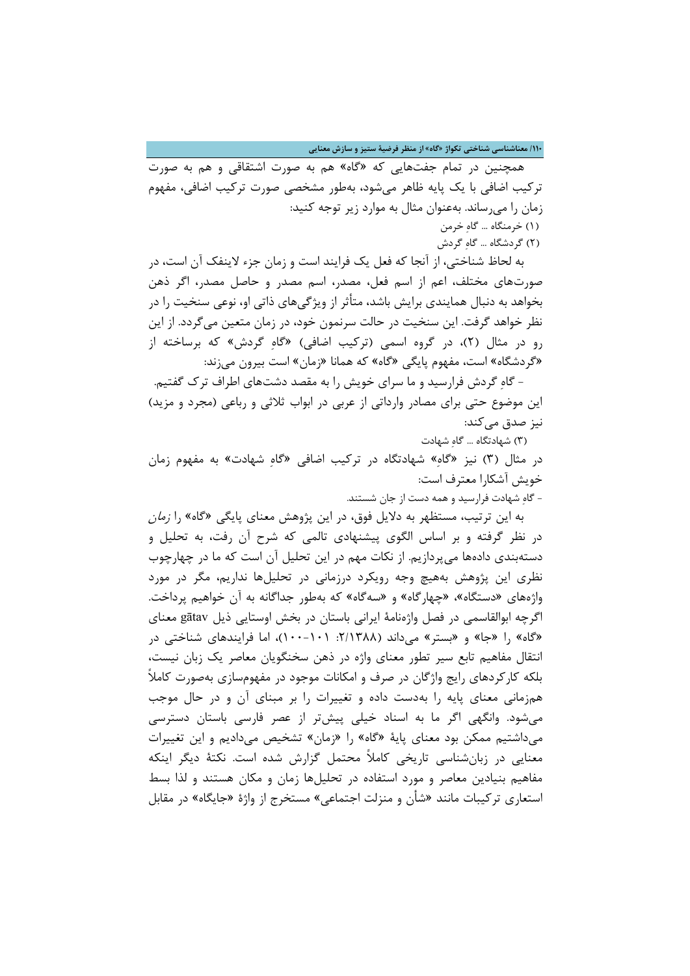**/001 معناشناسی شناختی تکواژ »گاه« از منظر فرضیۀ ستیز و سازش معنایی**

 همچنین در تمام جفتهایی که »گاه« هم به صورت اشتقاقی و هم به صورت ترکیب اضافی با یک پایه ظاهر میشود، بهطور مشخصی صورت ترکیب اضافی، مفهوم زمان را میرساند. بهعنوان مثال به موارد زیر توجه کنید: )7( خرمنگاه ... گاهِ خرمن

)0( گردشگاه ... گاهِ گردش

 به لحاظ شناختی، از آنجا که فعل یک فرایند است و زمان جزء الینفک آن است، در صورتهای مختلف، اعم از اسم فعل، مصدر، اسم مصدر و حاصل مصدر، اگر ذهن بخواهد به دنبال همایندی برایش باشد، متأثر از ویژگیهای ذاتی او، نوعی سنخیت را در نظر خواهد گرفت. این سنخیت در حالت سرنمون خود، در زمان متعین میگردد. از این رو در مثال (۲)، در گروه اسمی (ترکیب اضافی) «گاهِ گردش» که برساخته از »گردشگاه« است، مفهوم پایگی »گاه« که همانا »زمان« است بیرون میزند:

 - گاهِ گردش فرارسید و ما سرای خویش را به مقصد دشتهای اطراف ترک گفتیم. این موضوع حتی برای مصادر وارداتی از عربی در ابواب ثلاثی و رباعی (مجرد و مزید) نیز صدق می کند:

)8( شهادتگاه ... گاهِ شهادت

در مثال )8( نیز »گاهِ« شهادتگاه در ترکیب اضافی »گاهِ شهادت« به مفهوم زمان خویش آشکارا معترف است:

- گاهِ شهادت فرارسید و همه دست از جان شستند.

به این ترتیب، مستظهر به دلایل فوق، در این پژوهش معنای پایگی «گاه» را *زمان* در نظر گرفته و بر اساس الگوی پیشنهادی تالمی که شرح آن رفت، به تحلیل و دستهبندی دادهها میپردازیم. از نکات مهم در این تحلیل آن است که ما در چهارچوب نظری این پژوهش بههیچ وجه رویکرد درزمانی در تحلیلها نداریم، مگر در مورد واژههای »دستگاه«، »چهارگاه« و »سهگاه« که بهطور جداگانه به آن خواهیم پرداخت. اگرچه ابوالقاسمی در فصل واژهنامۀ ایرانی باستان در بخش اوستایی ذیل gātav معنای «گاه» را «جا» و «بستر» میداند (۲/۱۳۸۸: ۱۰۱-۱۰۰)، اما فرایندهای شناختی در انتقال مفاهیم تابع سیر تطور معنای واژه در ذهن سخنگویان معاصر یک زبان نیست، بلکه کارکردهای رایج واژگان در صرف و امکانات موجود در مفهومسازی بهصورت کامالً همزمانی معنای پایه را بهدست داده و تغییرات را بر مبنای آن و در حال موجب میشود. وانگهی اگر ما به اسناد خیلی پیشتر از عصر فارسی باستان دسترسی میداشتیم ممکن بود معنای پایۀ »گاه« را »زمان« تشخیص میدادیم و این تغییرات معنایی در زبانشناسی تاریخی کامالً محتمل گزارش شده است. نکتۀ دیگر اینکه مفاهیم بنیادین معاصر و مورد استفاده در تحلیلها زمان و مکان هستند و لذا بسط استعاری ترکیبات مانند »شأن و منزلت اجتماعی« مستخرج از واژۀ »جایگاه« در مقابل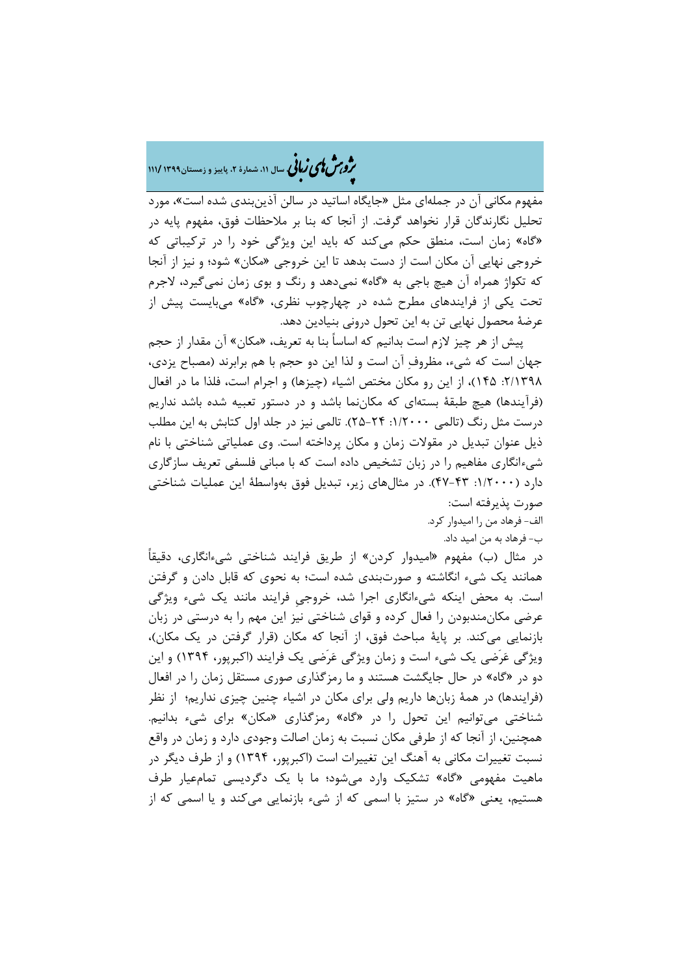## ه<br>مر*دین با ی ن*مانی سال ۱۱، شمارۀ ۲، پاییز و زمستان ۱۳۹۹ /۱۱۱ ن

مفهوم مکانی آن در جملهای مثل »جایگاه اساتید در سالن آذینبندی شده است«، مورد تحلیل نگارندگان قرار نخواهد گرفت. از آنجا که بنا بر مالحظات فوق، مفهوم پایه در »گاه« زمان است، منطق حکم میکند که باید این ویژگی خود را در ترکیباتی که خروجی نهایی آن مکان است از دست بدهد تا این خروجی »مکان« شود؛ و نیز از آنجا که تکواژ همراه آن هیچ باجی به »گاه« نمیدهد و رنگ و بوی زمان نمیگیرد، الجرم تحت یکی از فرایندهای مطرح شده در چهارچوب نظری، »گاه« میبایست پیش از عرضۀ محصول نهایی تن به این تحول درونی بنیادین دهد.

 پیش از هر چیز الزم است بدانیم که اساساً بنا به تعریف، »مکان« آن مقدار از حجم جهان است که شیء، مظروفِ آن است و لذا این دو حجم با هم برابرند )مصباح یزدی، ۲/۱۳۹۸: ۱۴۵)، از این رو مکان مختص اشیاء (چیزها) و اجرام است، فلذا ما در افعال (فرآیندها) هیچ طبقۀ بستهای که مکاننما باشد و در دستور تعبیه شده باشد نداریم درست مثل رنگ )تالمی :7/0222 01-04(. تالمی نیز در جلد اول کتابش به این مطلب ذیل عنوان تبدیل در مقوالت زمان و مکان پرداخته است. وی عملیاتی شناختی با نام شیءانگاری مفاهیم را در زبان تشخیص داده است که با مبانی فلسفی تعریف سازگاری دارد ):7/0222 41-48(. در مثالهای زیر، تبدیل فوق بهواسطۀ این عملیات شناختی صورت پذیرفته است:

الف- فرهاد من را امیدوار کرد.

ب- فرهاد به من امید داد.

در مثال (ب) مفهوم «امیدوار کردن» از طریق فرایند شناختی شیءانگاری، دقیقاً همانند یک شیء انگاشته و صورتبندی شده است؛ به نحوی که قابل دادن و گرفتن است. به محض اینکه شیءانگاری اجرا شد، خروجیِ فرایند مانند یک شیء ویژگی عرضی مکانمندبودن را فعال کرده و قوای شناختی نیز این مهم را به درستی در زبان بازنمایی میکند. بر پایۀ مباحث فوق، از آنجا که مکان )قرار گرفتن در یک مکان(، ویژگی عَرَضی یک شیء است و زمان ویژگی عَرَضی یک فرایند )اکبرپور، 7894( و این دو در »گاه« در حال جایگشت هستند و ما رمزگذاری صوری مستقل زمان را در افعال (فرایندها) در همۀ زبانها داریم ولی برای مکان در اشیاء چنین چیزی نداریم؛ از نظر شناختی میتوانیم این تحول را در »گاه« رمزگذاری »مکان« برای شیء بدانیم. همچنین، از آنجا که از طرفی مکان نسبت به زمان اصالت وجودی دارد و زمان در واقع نسبت تغییرات مکانی به آهنگ این تغییرات است )اکبرپور، 7894( و از طرف دیگر در ماهیت مفهومی »گاه« تشکیک وارد میشود؛ ما با یک دگردیسی تمامعیار طرف هستیم، یعنی »گاه« در ستیز با اسمی که از شیء بازنمایی میکند و یا اسمی که از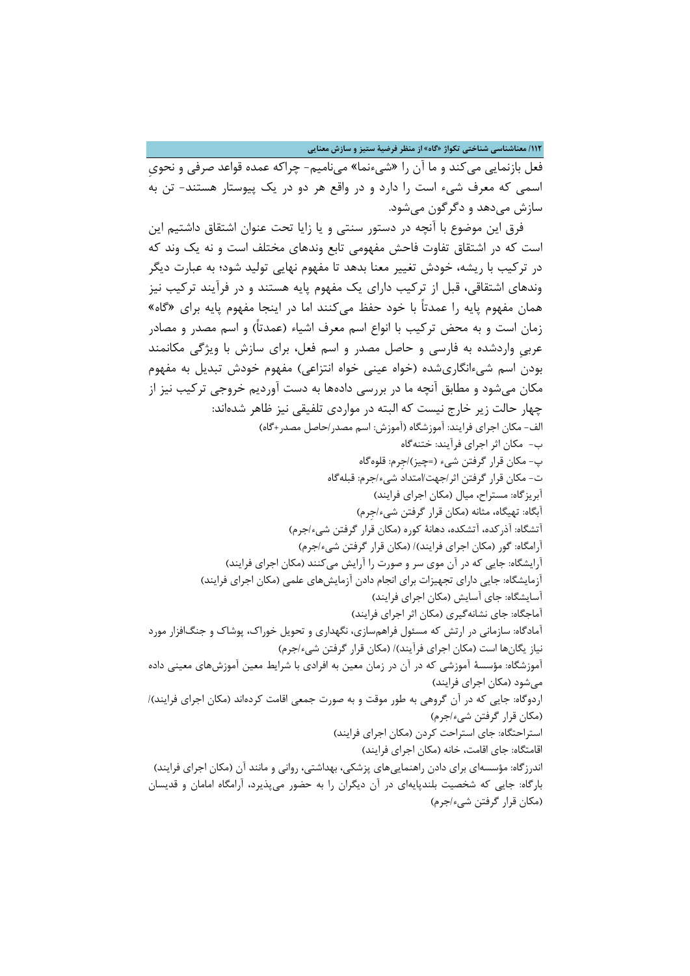**/002 معناشناسی شناختی تکواژ »گاه« از منظر فرضیۀ ستیز و سازش معنایی**

فعل بازنمایی میکند و ما آن را »شیءنما« مینامیم- چراکه عمده قواعد صرفی و نحویِ اسمی که معرف شیء است را دارد و در واقع هر دو در یک پیوستار هستند- تن به سازش میدهد و دگرگون میشود.

 فرق این موضوع با آنچه در دستور سنتی و یا زایا تحت عنوان اشتقاق داشتیم این است که در اشتقاق تفاوت فاحش مفهومی تابع وندهای مختلف است و نه یک وند که در ترکیب با ریشه، خودش تغییر معنا بدهد تا مفهوم نهایی تولید شود؛ به عبارت دیگر وندهای اشتقاقی، قبل از ترکیب دارای یک مفهوم پایه هستند و در فرآیند ترکیب نیز همان مفهوم پایه را عمدتاً با خود حفظ میکنند اما در اینجا مفهوم پایه برای »گاه« زمان است و به محض ترکیب با انواع اسم معرف اشیاء (عمدتاً) و اسم مصدر و مصادر عربیِ واردشده به فارسی و حاصل مصدر و اسم فعل، برای سازش با ویژگی مکانمند بودن اسم شیءانگاریشده (خواه عینی خواه انتزاعی) مفهوم خودش تبدیل به مفهوم مکان میشود و مطابق آنچه ما در بررسی دادهها به دست آوردیم خروجی ترکیب نیز از چهار حالت زیر خارج نیست که البته در مواردی تلفیقی نیز ظاهر شدهاند: الف- مکان اجرای فرایند: آموزشگاه (آموزش: اسم مصدر/حاصل مصدر+گاه) ب- مکان اثر اجرای فرآیند: ختنهگاه پ- مکان قرار گرفتن شیء )=چیز(/جِرم: قلوهگاه ت- مکان قرار گرفتن اثر/جهت/امتداد شیء/جرم: قبلهگاه آبریزگاه: مستراح، میال (مکان اجرای فرایند) آبگاه: تهیگاه، مثانه (مکان قرار گرفتن شیء/جرم) آتشگاه: آذرکده، آتشکده، دهانۀ کوره )مکان قرار گرفتن شیء/جرم( آرامگاه: گور (مکان اجرای فرایند)/ (مکان قرار گرفتن شیء/جرم) آرایشگاه: جایی که در آن موی سر و صورت را آرایش میکنند (مکان اجرای فرایند) آزمایشگاه: جایی دارای تجهیزات برای انجام دادن آزمایشهای علمی (مکان اجرای فرایند) آسایشگاه: جای آسایش )مکان اجرای فرایند( آماجگاه: جای نشانهگیری )مکان اثر اجرای فرایند( آمادگاه: سازمانی در ارتش که مسئول فراهمسازی، نگهداری و تحویل خوراک، پوشاک و جنگافزار مورد نیاز یگانها است (مکان اجرای فرآیند)/ (مکان قرار گرفتن شیء/جرم) آموزشگاه: مؤسسۀ آموزشی که در آن در زمان معین به افرادی با شرایط معین آموزشهای معینی داده میشود )مکان اجرای فرایند( اردوگاه: جایی که در آن گروهی به طور موقت و به صورت جمعی اقامت کردهاند (مکان اجرای فرایند)/ )مکان قرار گرفتن شیء/جرم( استراحتگاه: جای استراحت کردن (مکان اجرای فرایند) اقامتگاه: جای اقامت، خانه (مکان اجرای فرایند) اندرزگاه: مؤسسهای برای دادن راهنماییهای پزشکی، بهداشتی، روانی و مانند آن (مکان اجرای فرایند) بارگاه: جایی که شخصیت بلندپایهای در آن دیگران را به حضور میپذیرد، آرامگاه امامان و قدیسان )مکان قرار گرفتن شیء/جرم(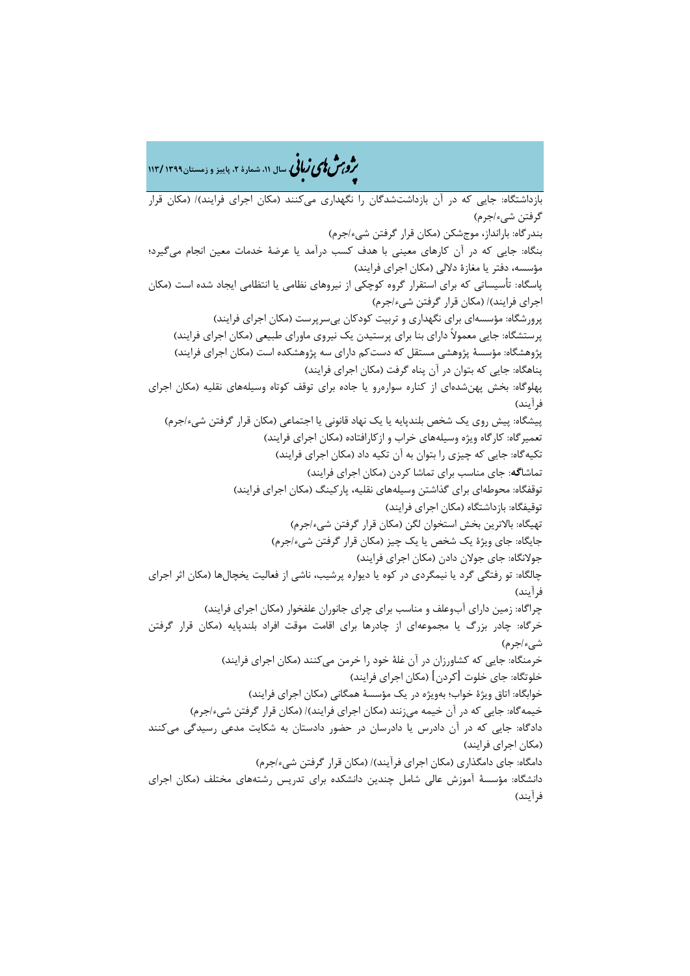هش ژپو ی اهیزبا **، سال ،00 شمارۀ ،2 پاییز <sup>و</sup> زمستان0911 <sup>009</sup>/** ن

بازداشتگاه: جایی که در آن بازداشتشدگان را نگهداری میکنند (مکان اجرای فرایند)/ (مکان قرار گرفتن شیء/جرم( بندرگاه: بارانداز، موجشکن )مکان قرار گرفتن شیء/جرم( بنگاه: جایی که در آن کارهای معینی با هدف کسب درآمد یا عرضۀ خدمات معین انجام میگیرد؛ مؤسسه، دفتر یا مغازۀ دلالی (مکان اجرای فرایند) پاسگاه: تأسیساتی که برای استقرار گروه کوچکی از نیروهای نظامی یا انتظامی ایجاد شده است )مکان اجرای فرایند)/ (مکان قرار گرفتن شیء/جرم) پرورشگاه: مؤسسهای برای نگهداری و تربیت کودکان بیسرپرست )مکان اجرای فرایند( پرستشگاه: جایی معموالً دارای بنا برای پرستیدن یک نیروی ماورای طبیعی )مکان اجرای فرایند( پژوهشگاه: مؤسسۀ پژوهشی مستقل که دستکم دارای سه پژوهشکده است (مکان اجرای فرایند) پناهگاه: جایی که بتوان در آن پناه گرفت (مکان اجرای فرایند) پهلوگاه: بخش پهنشدهای از کناره سوارهرو یا جاده برای توقف کوتاه وسیلههای نقلیه )مکان اجرای فرآیند) پیشگاه: پیش روی یک شخص بلندپایه یا یک نهاد قانونی یا اجتماعی (مکان قرار گرفتن شیء/جرم) تعمیرگاه: کارگاه ویژه وسیلههای خراب و ازکارافتاده )مکان اجرای فرایند( تکیهگاه: جایی که چیزی را بتوان به آن تکیه داد (مکان اجرای فرایند) تماشا**گه**: جای مناسب برای تماشا کردن )مکان اجرای فرایند( توقفگاه: محوطهای برای گذاشتن وسیلههای نقلیه، پارکینگ )مکان اجرای فرایند( توقیفگاه: بازداشتگاه (مکان اجرای فرایند) تهیگاه: بالاترین بخش استخوان لگن (مکان قرار گرفتن شیء/جرم) جایگاه: جای ویژۀ یک شخص یا یک چیز (مکان قرار گرفتن شیء/جرم) جولانگاه: جای جولان دادن (مکان اجرای فرایند) چالگاه: تو رفتگی گرد یا نیمگردی در کوه یا دیواره پرشیب، ناشی از فعالیت یخچالها )مکان اثر اجرای فر آیند) چراگاه: زمین دارای آبوعلف و مناسب برای چرای جانوران علفخوار (مکان اجرای فرایند) خرگاه: چادر بزرگ یا مجموعهای از چادرها برای اقامت موقت افراد بلندپایه )مکان قرار گرفتن شیء/جرم) خرمنگاه: جایی که کشاورزان در آن غلۀ خود را خرمن می کنند (مکان اجرای فرایند) خلوتگاه: جای خلوت [کردن] (مکان اجرای فرایند) خوابگاه: اتاق ویژۀ خواب؛ بهویژه در یک مؤسسۀ همگانی (مکان اجرای فرایند) خیمهگاه: جایی که در آن خیمه می;نند (مکان اجرای فرایند)/ (مکان قرار گرفتن شیء/جرم) دادگاه: جایی که در آن دادرس یا دادرسان در حضور دادستان به شکایت مدعی رسیدگی میکنند )مکان اجرای فرایند( دامگاه: جای دامگذاری (مکان اجرای فرآیند)/ (مکان قرار گرفتن شیء/جرم) دانشگاه: مؤسسۀ آموزش عالی شامل چندین دانشکده برای تدریس رشتههای مختلف )مکان اجرای فر آیند)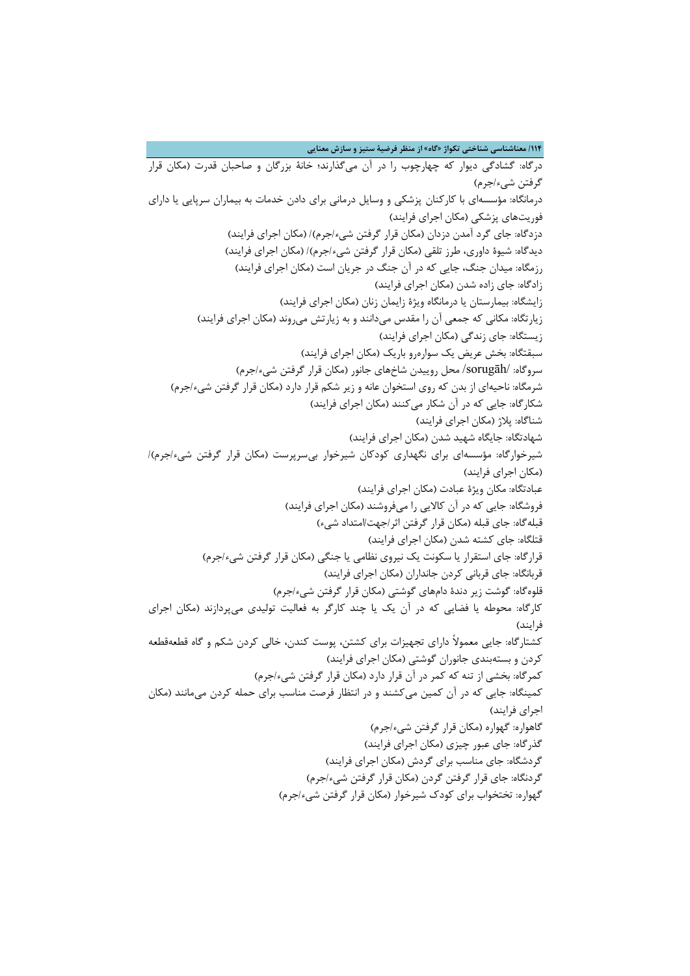**/001 معناشناسی شناختی تکواژ »گاه« از منظر فرضیۀ ستیز و سازش معنایی**

درگاه: گشادگی دیوار که چهارچوب را در آن میگذارند؛ خانۀ بزرگان و صاحبان قدرت )مکان قرار گرفتن شيء/جرم) درمانگاه: مؤسسهای با کارکنان پزشکی و وسایل درمانی برای دادن خدمات به بیماران سرپایی یا دارای فوریتهای پزشکی )مکان اجرای فرایند( دزدگاه: جای گرد آمدن دزدان (مکان قرار گرفتن شیء/جرم)/ (مکان اجرای فرایند) دیدگاه: شیوۀ داوری، طرز تلقی (مکان قرار گرفتن شیء/جرم)/ (مکان اجرای فرایند) رزمگاه: میدان جنگ، جایی که در آن جنگ در جریان است (مکان اجرای فرایند) زادگاه: جای زاده شدن (مکان اجرای فرایند) زایشگاه: بیمارستان یا درمانگاه ویژۀ زایمان زنان )مکان اجرای فرایند( زیارتگاه: مکانی که جمعی آن را مقدس میدانند و به زیارتش میروند (مکان اجرای فرایند) زیستگاه: جای زندگی )مکان اجرای فرایند( سبقتگاه: بخش عریض یک سوارهرو باریک )مکان اجرای فرایند( سروگاه: /sorugāh/ محل روییدن شاخهای جانور )مکان قرار گرفتن شیء/جرم( شرمگاه: ناحیهای از بدن که روی استخوان عانه و زیر شکم قرار دارد (مکان قرار گرفتن شیء/جرم) شکارگاه: جایی که در آن شکار میکنند (مکان اجرای فرایند) شناگاه: پالژ )مکان اجرای فرایند( شهادتگاه: جایگاه شهید شدن (مکان اجرای فرایند) شیرخوارگاه: مؤسسهای برای نگهداری کودکان شیرخوار بیسرپرست )مکان قرار گرفتن شیء/جرم(/ (مکان اجرای فرایند) عبادتگاه: مکان ویژۀ عبادت (مکان اجرای فرایند) فروشگاه: جایی که در آن کالایی را میفروشند (مکان اجرای فرایند) قبلهگاه: جای قبله (مکان قرار گرفتن اثر/جهت/امتداد شیء) قتلگاه: جای کشته شدن (مکان اجرای فرایند) قرارگاه: جای استقرار یا سکونت یک نیروی نظامی یا جنگی (مکان قرار گرفتن شیء/جرم) قربانگاه: جای قربانی کردن جانداران (مکان اجرای فرایند) قلوهگاه: گوشت زیر دندۀ دامهای گوشتی (مکان قرار گرفتن شیء/جرم) کارگاه: محوطه یا فضایی که در آن یک یا چند کارگر به فعالیت تولیدی میپردازند )مکان اجرای فرایند) کشتارگاه: جایی معموالً دارای تجهیزات برای کشتن، پوست کندن، خالی کردن شکم و گاه قطعهقطعه کردن و بستهبندی جانوران گوشتی )مکان اجرای فرایند( کمرگاه: بخشی از تنه که کمر در آن قرار دارد )مکان قرار گرفتن شیء/جرم( کمینگاه: جایی که در آن کمین میکشند و در انتظار فرصت مناسب برای حمله کردن میمانند )مکان اجرای فرایند) گاهواره: گهواره )مکان قرار گرفتن شیء/جرم( گذرگاه: جای عبور چیزی )مکان اجرای فرایند( گردشگاه: جای مناسب برای گردش (مکان اجرای فرایند) گردنگاه: جای قرار گرفتن گردن (مکان قرار گرفتن شیء/جرم) گهواره: تختخواب برای کودک شیرخوار )مکان قرار گرفتن شیء/جرم(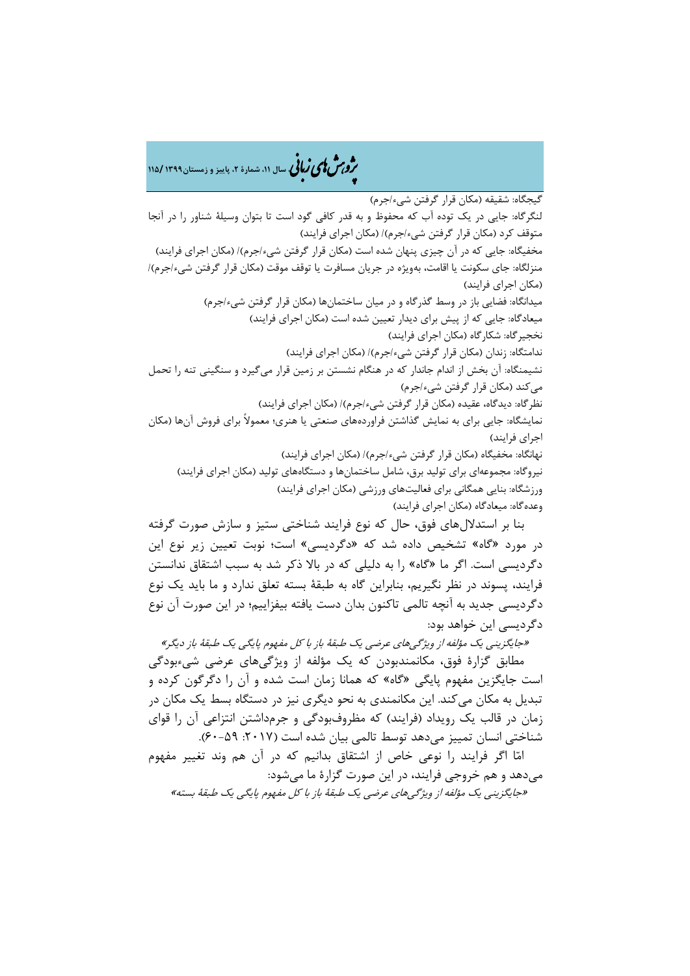هش ژپو ی اهیزبا **، سال ،00 شمارۀ ،2 پاییز <sup>و</sup> زمستان0911 <sup>001</sup>/** ن

گیجگاه: شقیقه )مکان قرار گرفتن شیء/جرم( لنگرگاه: جایی در یک توده آب که محفوظ و به قدر کافی گود است تا بتوان وسیلۀ شناور را در آنجا متوقف کرد (مکان قرار گرفتن شیء/جرم)/ (مکان اجرای فرایند) مخفیگاه: جایی که در آن چیزی پنهان شده است (مکان قرار گرفتن شیء/جرم)/ (مکان اجرای فرایند) منزلگاه: جای سکونت یا اقامت، بهویژه در جریان مسافرت یا توقف موقت (مکان قرار گرفتن شیء/جرم)/ (مکان اجرای فرایند) میدانگاه: فضایی باز در وسط گذرگاه و در میان ساختمانها (مکان قرار گرفتن شیء/جرم) میعادگاه: جایی که از پیش برای دیدار تعیین شده است (مکان اجرای فرایند) نخجیر گاه: شکار گاه (مکان اجرای فرایند) ندامتگاه: زندان (مکان قرار گرفتن شیء/جرم)/ (مکان اجرای فرایند) نشیمنگاه: آن بخش از اندام جاندار که در هنگام نشستن بر زمین قرار میگیرد و سنگینی تنه را تحمل میکند (مکان قرار گرفتن شیء/جرم) نظرگاه: دیدگاه، عقیده (مکان قرار گرفتن شیء/جرم)/ (مکان اجرای فرایند) نمایشگاه: جایی برای به نمایش گذاشتن فراوردههای صنعتی یا هنری؛ معموالً برای فروش آنها )مکان اجرای فرایند( نهانگاه: مخفیگاه (مکان قرار گرفتن شیء/جرم)/ (مکان اجرای فرایند) نیروگاه: مجموعهای برای تولید برق، شامل ساختمانها و دستگاههای تولید (مکان اجرای فرایند) ورزشگاه: بنایی همگانی برای فعالیتهای ورزشی (مکان اجرای فرایند) وعدهگاه: میعادگاه (مکان اجرای فرایند) بنا بر استداللهای فوق، حال که نوع فرایند شناختی ستیز و سازش صورت گرفته

در مورد »گاه« تشخیص داده شد که »دگردیسی« است؛ نوبت تعیین زیر نوع این دگردیسی است. اگر ما »گاه« را به دلیلی که در باال ذکر شد به سبب اشتقاق ندانستن فرایند، پسوند در نظر نگیریم، بنابراین گاه به طبقۀ بسته تعلق ندارد و ما باید یک نوع دگردیسی جدید به آنچه تالمی تاکنون بدان دست یافته بیفزاییم؛ در این صورت آن نوع دگردیسی این خواهد بود:

»جایگزینی یک مؤلفه از ویژگیهای عرضی یک طبقۀ باز با کل مفهوم پایگی یک طبقۀ باز دیگر« مطابق گزارۀ فوق، مکانمندبودن که یک مؤلفه از ویژگیهای عرضی شیءبودگی است جایگزین مفهوم پایگی »گاه« که همانا زمان است شده و آن را دگرگون کرده و تبدیل به مکان میکند. این مکانمندی به نحو دیگری نیز در دستگاه بسط یک مکان در زمان در قالب یک رویداد (فرایند) که مظروفبودگی و جرمداشتن انتزاعی آن را قوای شناختی انسان تمییز میدهد توسط تالمی بیان شده است (۲۰۱۷: ۵۹-۶۰).

 امّا اگر فرایند را نوعی خاص از اشتقاق بدانیم که در آن هم وند تغییر مفهوم میدهد و هم خروجی فرایند، در این صورت گزارۀ ما میشود:

»جایگزینی یک مؤلفه از ویژگیهای عرضی یک طبقۀ باز با کل مفهوم پایگی یک طبقۀ بسته«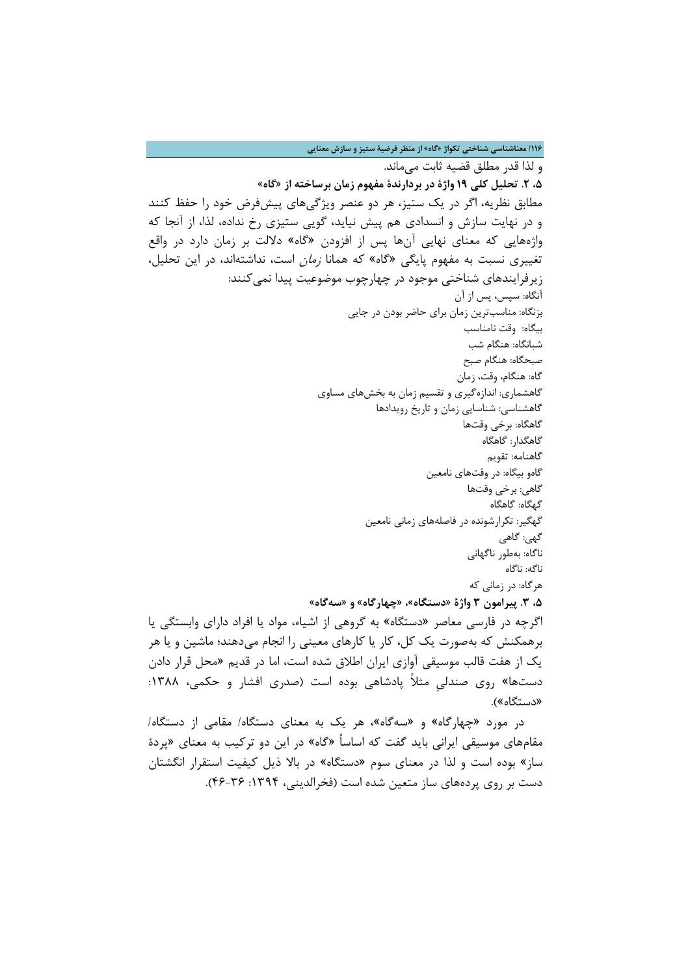**/001 معناشناسی شناختی تکواژ »گاه« از منظر فرضیۀ ستیز و سازش معنایی**

و لذا قدر مطلق قضیه ثابت میماند. **،1 .2 تحلیل کلی 01 واژۀ در بردارندۀ مفهوم زمان برساخته از »گاه«** مطابق نظریه، اگر در یک ستیز، هر دو عنصر ویژگیهای پیشفرض خود را حفظ کنند و در نهایت سازش و انسدادی هم پیش نیاید، گویی ستیزی رخ نداده، لذا، از آنجا که واژههایی که معنای نهایی آنها پس از افزودن »گاه« داللت بر زمان دارد در واقع تغییری نسبت به مفهوم پایگی »گاه« که همانا زمان است، نداشتهاند، در این تحلیل، زیرفرایندهای شناختی موجود در چهارچوب موضوعیت پیدا نمی کنند: آنگاه: سپس، پس از آن بزنگاه: مناسبترین زمان برای حاضر بودن در جایی بیگاه: وقت نامناسب شبانگاه: هنگام شب صبحگاه: هنگام صبح گاه: هنگام، وقت، زمان گاهشماری: اندازهگیری و تقسیم زمان به بخشهای مساوی گاهشناسی: شناسایی زمان و تاریخ رویدادها گاهگاه: برخی وقتها گاهگدار: گاهگاه گاهنامه: تقویم گاهو بیگاه: در وقتهای نامعین گاهی: برخی وقتها گهگاه: گاهگاه گهگیر: تکرارشونده در فاصلههای زمانی نامعین گهی: گاهی ناگاه: بهطور ناگهانی ناگه: ناگاه هرگاه: در زمانی که **،1 .9 پیرامون 9 واژۀ »دستگاه«، »چهارگاه« و »سهگاه«** اگرچه در فارسی معاصر »دستگاه« به گروهی از اشیاء، مواد یا افراد دارای وابستگی یا برهمکنش که بهصورت یک کل، کار یا کارهای معینی را انجام میدهند؛ ماشین و یا هر یک از هفت قالب موسیقی آوازی ایران اطالق شده است، اما در قدیم »محل قرار دادن دستها» روی صندلی مثلاً پادشاهی بوده است (صدری افشار و حکمی، ۱۳۸۸: «دستگاه»). در مورد »چهارگاه« و »سهگاه«، هر یک به معنای دستگاه/ مقامی از دستگاه/

مقامهای موسیقی ایرانی باید گفت که اساساً »گاه« در این دو ترکیب به معنای »پردۀ ساز« بوده است و لذا در معنای سوم »دستگاه« در باال ذیل کیفیت استقرار انگشتان دست بر روی پردههای ساز متعین شده است (فخرالدینی، ۱۳۹۴: ۳۶-۴۶).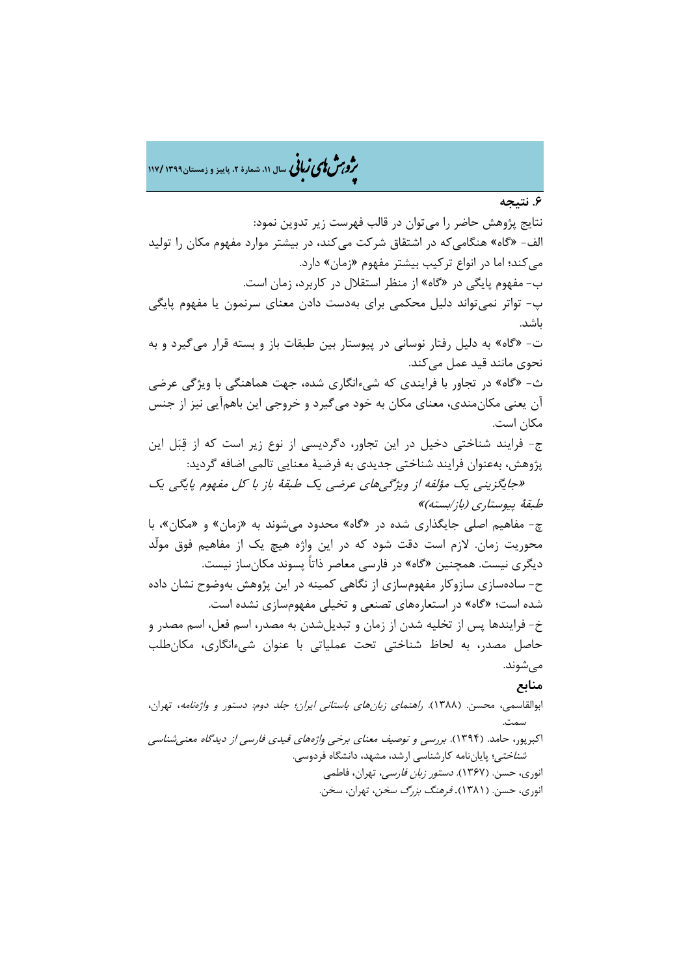هش ژپو ی اهیزبا **، سال ،00 شمارۀ ،2 پاییز <sup>و</sup> زمستان0911 <sup>001</sup>/** ن

**.1 نتیجه**

نتایج پژوهش حاضر را میتوان در قالب فهرست زیر تدوین نمود: الف- «گاه» هنگامی که در اشتقاق شرکت میکند، در بیشتر موارد مفهوم مکان را تولید می کند؛ اما در انواع ترکیب بیشتر مفهوم «زمان» دارد. ب- مفهوم پایگی در »گاه« از منظر استقالل در کاربرد، زمان است. پ- تواتر نمیتواند دلیل محکمی برای بهدست دادن معنای سرنمون یا مفهوم پایگی باشد. ت- »گاه« به دلیل رفتار نوسانی در پیوستار بین طبقات باز و بسته قرار میگیرد و به نحوی مانند قید عمل میکند. ث- »گاه« در تجاور با فرایندی که شیءانگاری شده، جهت هماهنگی با ویژگی عرضی آن یعنی مکانمندی، معنای مکان به خود میگیرد و خروجی این باهمآیی نیز از جنس مکان است. ج- فرایند شناختی دخیل در این تجاور، دگردیسی از نوع زیر است که از قِبَل این پژوهش، بهعنوان فرایند شناختی جدیدی به فرضیۀ معنایی تالمی اضافه گردید: »جایگزینی یک مؤلفه از ویژگیهای عرضی یک طبقۀ باز با کل مفهوم پایگی یک طبقۀ پیوستاری )باز/بسته(« چ- مفاهیم اصلی جایگذاری شده در »گاه« محدود میشوند به »زمان« و »مکان«، با محوریت زمان. الزم است دقت شود که در این واژه هیچ یک از مفاهیم فوق مولّد دیگری نیست. همچنین »گاه« در فارسی معاصر ذاتاً پسوند مکانساز نیست. ح- سادهسازی سازوکار مفهومسازی از نگاهی کمینه در این پژوهش بهوضوح نشان داده شده است؛ »گاه« در استعارههای تصنعی و تخیلی مفهومسازی نشده است. خ- فرایندها پس از تخلیه شدن از زمان و تبدیلشدن به مصدر، اسم فعل، اسم مصدر و حاصل مصدر، به لحاظ شناختی تحت عملیاتی با عنوان شیءانگاری، مکانطلب مے شوند. **منابع**  ابوالقاسمی، محسن. )7811(. راهنمای زبانهای باستانی ایران؛ جلد دوم: دستور و واژهنامه، تهران، سمت. اکبرپور، حامد. )7894(. بررسی و توصیف معنای برخی واژههای قیدی فارسی از دیدگاه معنیشناسی شناختی؛ پایاننامه کارشناسی ارشد، مشهد، دانشگاه فردوسی. انوری، حسن. (۱۳۶۷). *دستور زبان فارسی،* تهران، فاطمی انوری، حسن. (۱۳۸۱). *فرهنگ بزرگ سخن*، تهران، سخن.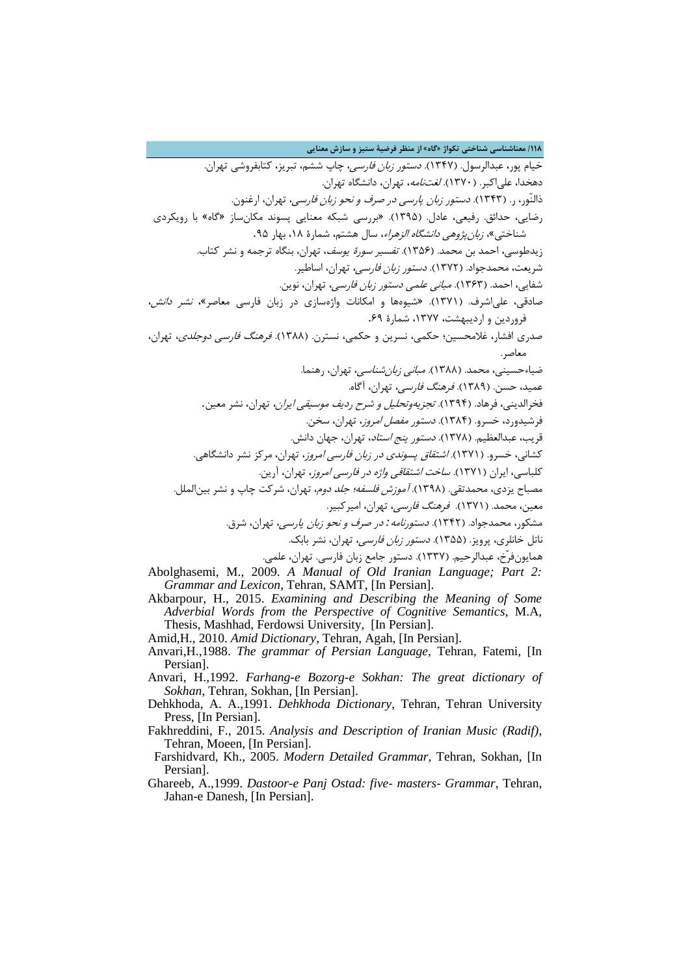**/001 معناشناسی شناختی تکواژ »گاه« از منظر فرضیۀ ستیز و سازش معنایی** خیام پور، عبدالرسول. (۱۳۴۷). *دستور زبان فارسی*، چاپ ششم، تبریز، کتابفروشی تهران. دهخدا، عل<sub>ه ا</sub>کبر. (۱۳۷۰). *لغتنامه*، تهران، دانشگاه تهران. ذالنّور، ر. (۱۳۴۳). *دستور زبان پارسی در صرف و نحو زبان فارسی*، تهران، ارغنون. رضایی، حدائق. رفیعی، عادل. )7891(. »بررسی شبکه معنایی پسوند مکانساز »گاه« با رویکردی شناختی»، *زبان پژوهی دانشگاه الزهراء*، سال هشتم، شمارۀ ۱۸، بهار ۹۵. زیدطوسی، احمد بن محمد. (۱۳۵۶). *تفسیر سورۀ یوسف*، تهران، بنگاه ترجمه و نشر کتاب. شریعت، محمدجواد. (۱۳۷۲). *دستور زبان فارسی،* تهران، اساطیر. شفایی، احمد. (۱۳۶۳). *مبانی علمی دستور زبان فارسی*، تهران، نوین. صادقی، علی اشرف. (۱۳۷۱). «شیوهها و امکانات واژهسازی در زبان فارسی معاصر»، *نشر دانش*، فروردین و اردیبهشت، ،7811 شمارۀ .39 صدری افشار، غلامحسین؛ حکمی، نسرین و حکمی، نسترن. (۱۳۸۸). *فرهنگ فارسی دوجلدی*، تهران، معاصر. ضیاءحسینی، محمد. (۱۳۸۸). *مبانی زبان شناسی،* تهران، رهنما. عمید، حسن. (۱۳۸۹). *فرهنگ فارسی،* تهران، آگاه. فخرالدینی، فرهاد. (۱۳۹۴). *تجزیهوتحلیل و شرح ردیف موسیقی ایران،* تهران، نشر معین. فرشیدورد، خسرو. )7814(. دستور مفصل امروز، تهران، سخن. قریب، عبدالعظیم. (۱۳۷۸). *دستور پنج استاد*، تهران، جهان دانش. کشانی، خسرو. (۱۳۷۱). *اشتقاق پسوندی در زبان فارسی امروز*، تهران، مرکز نشر دانشگاهی. کلباسی، ایران (۱۳۷۱). *ساخت اشتقاقی واژه در فارسی امروز*، تهران، آرین. مصباح یزدی، محمدتقی. (۱۳۹۸). *آموزش فلسفه؛ جلد دوم*، تهران، شرکت چاپ و نشر بینالملل. معین، محمد. (۱۳۷۱). فر*هنگ فارسی،* تهران، امیرکبیر. مشکور، محمدجواد. (۱۳۴۲)*. دستورنامه : در صرف و نحو زبان پارسی،* تهران، شرق. ناتل خانلری، پرویز. (۱۳۵۵). *دستور زبان فارسی،* تهران، نشر بابک. همایونفرّخ، عبدالرحیم. )7881(. دستور جامع زبان فارسی. تهران، علمی. Abolghasemi, M., 2009. *A Manual of Old Iranian Language; Part 2: Grammar and Lexicon*, Tehran, SAMT, [In Persian].

- Akbarpour, H., 2015. *Examining and Describing the Meaning of Some Adverbial Words from the Perspective of Cognitive Semantics*, M.A, Thesis, Mashhad, Ferdowsi University, [In Persian].
- Amid,H., 2010. *Amid Dictionary*, Tehran, Agah, [In Persian].
- Anvari,H.,1988. *The grammar of Persian Language*, Tehran, Fatemi, [In Persian].
- Anvari, H.,1992. *Farhang-e Bozorg-e Sokhan: The great dictionary of Sokhan*, Tehran, Sokhan, [In Persian].
- Dehkhoda, A. A.,1991. *Dehkhoda Dictionary*, Tehran, Tehran University Press, [In Persian].
- Fakhreddini, F., 2015. *Analysis and Description of Iranian Music (Radif)*, Tehran, Moeen, [In Persian].
- Farshidvard, Kh., 2005. *Modern Detailed Grammar*, Tehran, Sokhan, [In Persian].
- Ghareeb, A.,1999. *Dastoor-e Panj Ostad: five- masters- Grammar*, Tehran, Jahan-e Danesh, [In Persian].